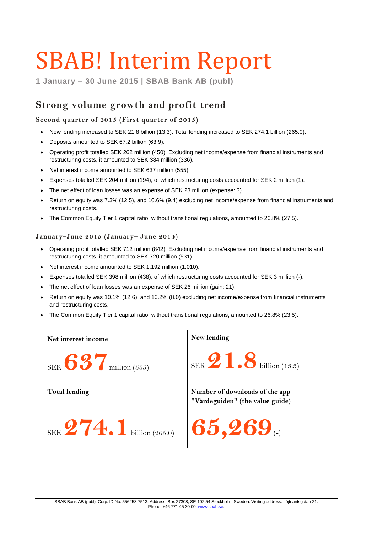# SBAB! Interim Report

**1 January – 30 June 2015 | SBAB Bank AB (publ)**

# **Strong volume growth and profit trend**

### **Second quarter of 2015 (First quarter of 2015)**

- New lending increased to SEK 21.8 billion (13.3). Total lending increased to SEK 274.1 billion (265.0).
- Deposits amounted to SEK 67.2 billion (63.9).
- Operating profit totalled SEK 262 million (450). Excluding net income/expense from financial instruments and restructuring costs, it amounted to SEK 384 million (336).
- Net interest income amounted to SEK 637 million (555).
- Expenses totalled SEK 204 million (194), of which restructuring costs accounted for SEK 2 million (1).
- The net effect of loan losses was an expense of SEK 23 million (expense: 3).
- Return on equity was 7.3% (12.5), and 10.6% (9.4) excluding net income/expense from financial instruments and restructuring costs.
- The Common Equity Tier 1 capital ratio, without transitional regulations, amounted to 26.8% (27.5).

### **January–June 2015 (January– June 2014)**

- Operating profit totalled SEK 712 million (842). Excluding net income/expense from financial instruments and restructuring costs, it amounted to SEK 720 million (531).
- Net interest income amounted to SEK 1,192 million (1,010).
- Expenses totalled SEK 398 million (438), of which restructuring costs accounted for SEK 3 million (-).
- The net effect of loan losses was an expense of SEK 26 million (gain: 21).
- Return on equity was 10.1% (12.6), and 10.2% (8.0) excluding net income/expense from financial instruments and restructuring costs.
- The Common Equity Tier 1 capital ratio, without transitional regulations, amounted to 26.8% (23.5).

| Net interest income         | New lending                                                       |
|-----------------------------|-------------------------------------------------------------------|
| SEK $637$ million (555)     | $SEK$ $\overline{2}$ $\overline{1}$ $\overline{3}$ billion (13.3) |
| <b>Total lending</b>        | Number of downloads of the app<br>"Värdeguiden" (the value guide) |
| SEK $274.1$ billion (265.0) | 165,269                                                           |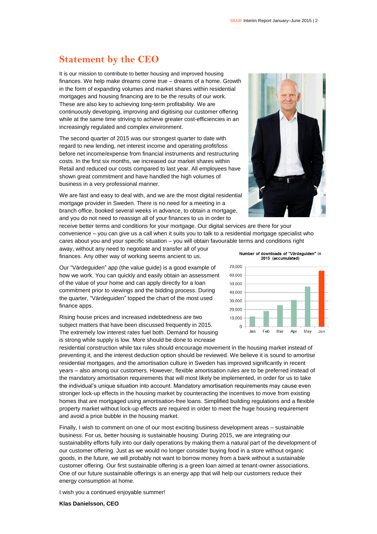### **Statement by the CEO**

It is our mission to contribute to better housing and improved housing finances. We help make dreams come true – dreams of a home. Growth in the form of expanding volumes and market shares within residential mortgages and housing financing are to be the results of our work. These are also key to achieving long-term profitability. We are continuously developing, improving and digitising our customer offering while at the same time striving to achieve greater cost-efficiencies in an increasingly regulated and complex environment.

The second quarter of 2015 was our strongest quarter to date with regard to new lending, net interest income and operating profit/loss before net income/expense from financial instruments and restructuring costs. In the first six months, we increased our market shares within Retail and reduced our costs compared to last year. All employees have shown great commitment and have handled the high volumes of business in a very professional manner.

We are fast and easy to deal with, and we are the most digital residential mortgage provider in Sweden. There is no need for a meeting in a branch office, booked several weeks in advance, to obtain a mortgage, and you do not need to reassign all of your finances to us in order to

receive better terms and conditions for your mortgage. Our digital services are there for your convenience – you can give us a call when it suits you to talk to a residential mortgage specialist who cares about you and your specific situation – you will obtain favourable terms and conditions right

away, without any need to negotiate and transfer all of your finances. Any other way of working seems ancient to us.

Our "Värdeguiden" app (the value guide) is a good example of how we work. You can quickly and easily obtain an assessment of the value of your home and can apply directly for a loan commitment prior to viewings and the bidding process. During the quarter, "Värdeguiden" topped the chart of the most used finance apps.

Rising house prices and increased indebtedness are two subject matters that have been discussed frequently in 2015. The extremely low interest rates fuel both. Demand for housing is strong while supply is low. More should be done to increase

residential construction while tax rules should encourage movement in the housing market instead of preventing it, and the interest deduction option should be reviewed. We believe it is sound to amortise residential mortgages, and the amortisation culture in Sweden has improved significantly in recent years – also among our customers. However, flexible amortisation rules are to be preferred instead of the mandatory amortisation requirements that will most likely be implemented, in order for us to take the individual's unique situation into account. Mandatory amortisation requirements may cause even stronger lock-up effects in the housing market by counteracting the incentives to move from existing homes that are mortgaged using amortisation-free loans. Simplified building regulations and a flexible property market without lock-up effects are required in order to meet the huge housing requirement and avoid a price bubble in the housing market.

Finally, I wish to comment on one of our most exciting business development areas – sustainable business. For us, better housing is sustainable housing. During 2015, we are integrating our sustainability efforts fully into our daily operations by making them a natural part of the development of our customer offering. Just as we would no longer consider buying food in a store without organic goods, in the future, we will probably not want to borrow money from a bank without a sustainable customer offering. Our first sustainable offering is a green loan aimed at tenant-owner associations. One of our future sustainable offerings is an energy app that will help our customers reduce their energy consumption at home.

I wish you a continued enjoyable summer!

**Klas Danielsson, CEO**

Number of downloads of "Värdequiden" in 2015 (accumulated)



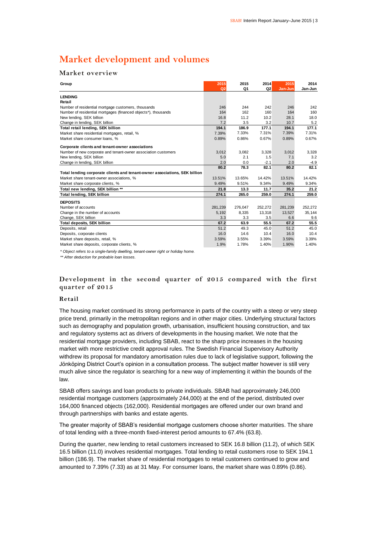# **Market development and volumes**

### **Market overview**

| Group                                                                      | 2015<br>Q <sub>2</sub> | 2015<br>Q1 | 2014<br>Q <sub>2</sub> | 2015<br>Jan-Jun | 2014<br>Jan-Jun |
|----------------------------------------------------------------------------|------------------------|------------|------------------------|-----------------|-----------------|
| <b>LENDING</b>                                                             |                        |            |                        |                 |                 |
| Retail                                                                     |                        |            |                        |                 |                 |
| Number of residential mortgage customers, thousands                        | 246                    | 244        | 242                    | 246             | 242             |
| Number of residential mortgages (financed objects*), thousands             | 164                    | 162        | 160                    | 164             | 160             |
| New lending, SEK billion                                                   | 16.8                   | 11.2       | 10.2                   | 28.1            | 18.0            |
| Change in lending, SEK billion                                             | 7.2                    | 3.5        | 3.2                    | 10.7            | 5.2             |
| Total retail lending, SEK billion                                          | 194.1                  | 186.9      | 177.1                  | 194.1           | 177.1           |
| Market share residential mortgages, retail, %                              | 7.39%                  | 7.33%      | 7.31%                  | 7.39%           | 7.31%           |
| Market share consumer loans. %                                             | 0.89%                  | 0.86%      | 0.67%                  | 0.89%           | 0.67%           |
| Corporate clients and tenant-owner associations                            |                        |            |                        |                 |                 |
| Number of new corporate and tenant-owner association customers             | 3,012                  | 3,082      | 3,328                  | 3,012           | 3,328           |
| New lending, SEK billion                                                   | 5.0                    | 2.1        | 1.5                    | 7.1             | 3.2             |
| Change in lending, SEK billion                                             | 2.0                    | 0.0        | $-2.1$                 | 2.0             | $-4.9$          |
|                                                                            | 80.2                   | 78.3       | 82.1                   | 80.2            | 82.1            |
| Total lending corporate clients and tenant-owner associations, SEK billion |                        |            |                        |                 |                 |
| Market share tenant-owner associations. %                                  | 13.51%                 | 13.65%     | 14.42%                 | 13.51%          | 14.42%          |
| Market share corporate clients, %                                          | 9.49%                  | 9.51%      | 9.34%                  | 9.49%           | 9.34%           |
| Total new lending, SEK billion **                                          | 21.8                   | 13.3       | 11.7                   | 35.2            | 21.2            |
| <b>Total lending, SEK billion</b>                                          | 274.1                  | 265.0      | 259.0                  | 274.1           | 259.0           |
|                                                                            |                        |            |                        |                 |                 |
| <b>DEPOSITS</b><br>Number of accounts                                      |                        | 276.047    | 252.272                | 281.239         | 252.272         |
| Change in the number of accounts                                           | 281,239<br>5,192       | 8,335      | 13,318                 | 13,527          | 35,144          |
| Change, SEK billion                                                        | 3.3                    | 3.3        | 3.5                    | 6.6             | 9.6             |
| <b>Total deposits, SEK billion</b>                                         | 67.2                   | 63.9       | 55.5                   | 67.2            | 55.5            |
| Deposits, retail                                                           | 51.2                   | 49.3       | 45.0                   | 51.2            | 45.0            |
| Deposits, corporate clients                                                | 16.0                   | 14.6       | 10.4                   | 16.0            | 10.4            |
| Market share deposits, retail, %                                           | 3.59%                  | 3.55%      | 3.39%                  | 3.59%           | 3.39%           |
|                                                                            |                        |            |                        |                 |                 |
| Market share deposits, corporate clients, %                                | 1.9%                   | 1.78%      | 1.40%                  | 1.90%           | 1.40%           |

*\* Object refers to a single-family dwelling, tenant-owner right or holiday home.*

*\*\* After deduction for probable loan losses.*

### **Development in the second quarter of 2015 compared with the first quarter of 2015**

### **Retail**

The housing market continued its strong performance in parts of the country with a steep or very steep price trend, primarily in the metropolitan regions and in other major cities. Underlying structural factors such as demography and population growth, urbanisation, insufficient housing construction, and tax and regulatory systems act as drivers of developments in the housing market. We note that the residential mortgage providers, including SBAB, react to the sharp price increases in the housing market with more restrictive credit approval rules. The Swedish Financial Supervisory Authority withdrew its proposal for mandatory amortisation rules due to lack of legislative support, following the Jönköping District Court's opinion in a consultation process. The subject matter however is still very much alive since the regulator is searching for a new way of implementing it within the bounds of the law.

SBAB offers savings and loan products to private individuals. SBAB had approximately 246,000 residential mortgage customers (approximately 244,000) at the end of the period, distributed over 164,000 financed objects (162,000). Residential mortgages are offered under our own brand and through partnerships with banks and estate agents.

The greater majority of SBAB's residential mortgage customers choose shorter maturities. The share of total lending with a three-month fixed-interest period amounts to 67.4% (63.8).

During the quarter, new lending to retail customers increased to SEK 16.8 billion (11.2), of which SEK 16.5 billion (11.0) involves residential mortgages. Total lending to retail customers rose to SEK 194.1 billion (186.9). The market share of residential mortgages to retail customers continued to grow and amounted to 7.39% (7.33) as at 31 May. For consumer loans, the market share was 0.89% (0.86).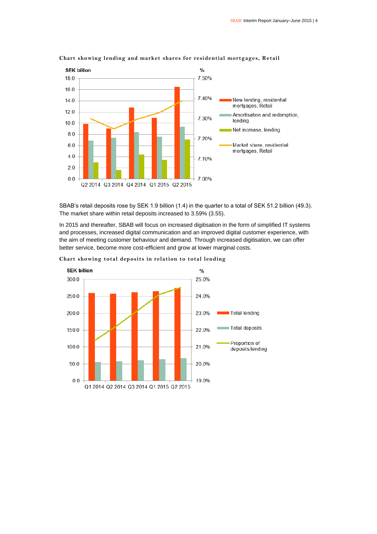

### **Chart showing lending and market shares for residential mortgages, Retail**

SBAB's retail deposits rose by SEK 1.9 billion (1.4) in the quarter to a total of SEK 51.2 billion (49.3). The market share within retail deposits increased to 3.59% (3.55).

In 2015 and thereafter, SBAB will focus on increased digitisation in the form of simplified IT systems and processes, increased digital communication and an improved digital customer experience, with the aim of meeting customer behaviour and demand. Through increased digitisation, we can offer better service, become more cost-efficient and grow at lower marginal costs.



**Chart showing total deposits in relation to total lending**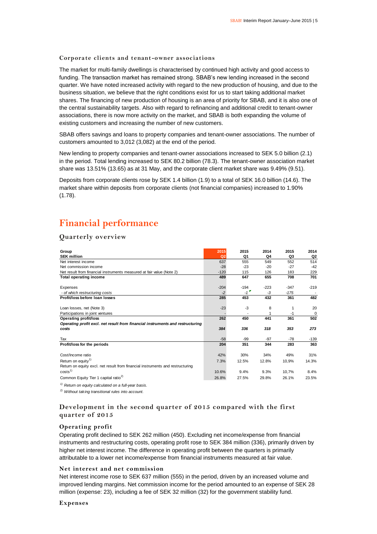### **Corporate clients and tenant-owner associations**

The market for multi-family dwellings is characterised by continued high activity and good access to funding. The transaction market has remained strong. SBAB's new lending increased in the second quarter. We have noted increased activity with regard to the new production of housing, and due to the business situation, we believe that the right conditions exist for us to start taking additional market shares. The financing of new production of housing is an area of priority for SBAB, and it is also one of the central sustainability targets. Also with regard to refinancing and additional credit to tenant-owner associations, there is now more activity on the market, and SBAB is both expanding the volume of existing customers and increasing the number of new customers.

SBAB offers savings and loans to property companies and tenant-owner associations. The number of customers amounted to 3,012 (3,082) at the end of the period.

New lending to property companies and tenant-owner associations increased to SEK 5.0 billion (2.1) in the period. Total lending increased to SEK 80.2 billion (78.3). The tenant-owner association market share was 13.51% (13.65) as at 31 May, and the corporate client market share was 9.49% (9.51).

Deposits from corporate clients rose by SEK 1.4 billion (1.9) to a total of SEK 16.0 billion (14.6). The market share within deposits from corporate clients (not financial companies) increased to 1.90% (1.78).

# **Financial performance**

### **Quarterly overview**

| Group                                                                          | 2015           | 2015                                           | 2014   | 2015   | 2014   |
|--------------------------------------------------------------------------------|----------------|------------------------------------------------|--------|--------|--------|
| <b>SEK million</b>                                                             | Q <sub>2</sub> | Q1                                             | Q4     | Q3     | Q2     |
| Net interest income                                                            | 637            | 555                                            | 549    | 552    | 514    |
| Net commission income                                                          | $-28$          | $-23$                                          | $-20$  | $-27$  | $-42$  |
| Net result from financial instruments measured at fair value (Note 2)          | $-120$         | 115                                            | 126    | 183    | 229    |
| <b>Total operating income</b>                                                  | 489            | 647                                            | 655    | 708    | 701    |
|                                                                                |                |                                                |        |        |        |
| Expenses                                                                       | $-204$         | $-194$<br>$-1$ <sup><math>\bullet</math></sup> | $-223$ | $-347$ | $-219$ |
| - of which restructuring costs                                                 | $-2$           |                                                | $-3$   | $-175$ |        |
| Profit/loss before loan losses                                                 | 285            | 453                                            | 432    | 361    | 482    |
| Loan losses, net (Note 3)                                                      | $-23$          | $-3$                                           | 8      | 1      | 20     |
| Participations in joint ventures                                               |                |                                                |        | $-1$   | 0      |
| <b>Operating profit/loss</b>                                                   | 262            | 450                                            | 441    | 361    | 502    |
| Operating profit excl. net result from financial instruments and restructuring |                |                                                |        |        |        |
| costs                                                                          | 384            | 336                                            | 318    | 353    | 273    |
|                                                                                |                |                                                |        |        |        |
| Tax                                                                            | $-58$          | $-99$                                          | $-97$  | $-78$  | $-139$ |
| Profit/loss for the periods                                                    | 204            | 351                                            | 344    | 283    | 363    |
|                                                                                |                |                                                |        |        |        |
| Cost/Income ratio                                                              | 42%            | 30%                                            | 34%    | 49%    | 31%    |
| Return on equity <sup>1)</sup>                                                 | 7.3%           | 12.5%                                          | 12.8%  | 10,9%  | 14.3%  |
| Return on equity excl. net result from financial instruments and restructuring |                |                                                |        |        |        |
| costs <sup>1</sup>                                                             | 10.6%          | 9.4%                                           | 9.3%   | 10,7%  | 8.4%   |
| Common Equity Tier 1 capital ratio <sup>2)</sup>                               | 26.8%          | 27.5%                                          | 29.8%  | 26.1%  | 23.5%  |
| <sup>1)</sup> Return on equity calculated on a full-year basis.                |                |                                                |        |        |        |

### *2) Without taking transitional rules into account.*

### **Development in the second quarter of 2015 compared with the first quarter of 2015**

### **Operating profit**

Operating profit declined to SEK 262 million (450). Excluding net income/expense from financial instruments and restructuring costs, operating profit rose to SEK 384 million (336), primarily driven by higher net interest income. The difference in operating profit between the quarters is primarily attributable to a lower net income/expense from financial instruments measured at fair value.

### **Net interest and net commission**

Net interest income rose to SEK 637 million (555) in the period, driven by an increased volume and improved lending margins. Net commission income for the period amounted to an expense of SEK 28 million (expense: 23), including a fee of SEK 32 million (32) for the government stability fund.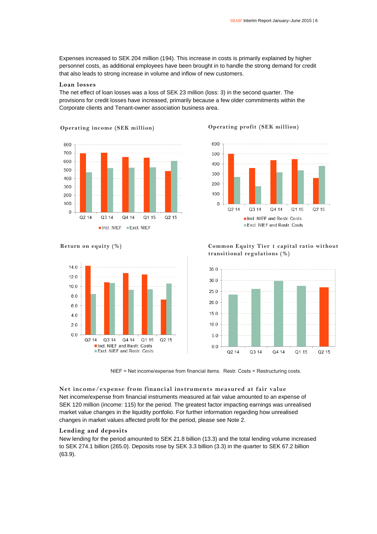Expenses increased to SEK 204 million (194). This increase in costs is primarily explained by higher personnel costs, as additional employees have been brought in to handle the strong demand for credit that also leads to strong increase in volume and inflow of new customers.

### **Loan losses**

The net effect of loan losses was a loss of SEK 23 million (loss: 3) in the second quarter. The provisions for credit losses have increased, primarily because a few older commitments within the Corporate clients and Tenant-owner association business area.



**Operating income (SEK million) Operating profit (SEK million)**







**Return on equity (%) Common Equity Tier 1 capital ratio without transitional regulations (%)**



NIEF = Net income/expense from financial items. Restr. Costs = Restructuring costs.

**Net income/expense from financial instruments measured at fair value** Net income/expense from financial instruments measured at fair value amounted to an expense of SEK 120 million (income: 115) for the period. The greatest factor impacting earnings was unrealised market value changes in the liquidity portfolio. For further information regarding how unrealised changes in market values affected profit for the period, please see Note 2.

### **Lending and deposits**

New lending for the period amounted to SEK 21.8 billion (13.3) and the total lending volume increased to SEK 274.1 billion (265.0). Deposits rose by SEK 3.3 billion (3.3) in the quarter to SEK 67.2 billion (63.9).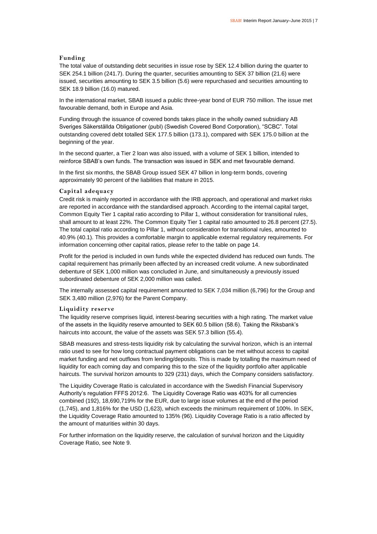### **Funding**

The total value of outstanding debt securities in issue rose by SEK 12.4 billion during the quarter to SEK 254.1 billion (241.7). During the quarter, securities amounting to SEK 37 billion (21.6) were issued, securities amounting to SEK 3.5 billion (5.6) were repurchased and securities amounting to SEK 18.9 billion (16.0) matured.

In the international market, SBAB issued a public three-year bond of EUR 750 million. The issue met favourable demand, both in Europe and Asia.

Funding through the issuance of covered bonds takes place in the wholly owned subsidiary AB Sveriges Säkerställda Obligationer (publ) (Swedish Covered Bond Corporation), "SCBC". Total outstanding covered debt totalled SEK 177.5 billion (173.1), compared with SEK 175.0 billion at the beginning of the year.

In the second quarter, a Tier 2 loan was also issued, with a volume of SEK 1 billion, intended to reinforce SBAB's own funds. The transaction was issued in SEK and met favourable demand.

In the first six months, the SBAB Group issued SEK 47 billion in long-term bonds, covering approximately 90 percent of the liabilities that mature in 2015.

### **Capital adequacy**

Credit risk is mainly reported in accordance with the IRB approach, and operational and market risks are reported in accordance with the standardised approach. According to the internal capital target, Common Equity Tier 1 capital ratio according to Pillar 1, without consideration for transitional rules, shall amount to at least 22%. The Common Equity Tier 1 capital ratio amounted to 26.8 percent (27.5). The total capital ratio according to Pillar 1, without consideration for transitional rules, amounted to 40.9% (40.1). This provides a comfortable margin to applicable external regulatory requirements. For information concerning other capital ratios, please refer to the table on page 14.

Profit for the period is included in own funds while the expected dividend has reduced own funds. The capital requirement has primarily been affected by an increased credit volume. A new subordinated debenture of SEK 1,000 million was concluded in June, and simultaneously a previously issued subordinated debenture of SEK 2,000 million was called.

The internally assessed capital requirement amounted to SEK 7,034 million (6,796) for the Group and SEK 3,480 million (2,976) for the Parent Company.

### **Liquidity reserve**

The liquidity reserve comprises liquid, interest-bearing securities with a high rating. The market value of the assets in the liquidity reserve amounted to SEK 60.5 billion (58.6). Taking the Riksbank's haircuts into account, the value of the assets was SEK 57.3 billion (55.4).

SBAB measures and stress-tests liquidity risk by calculating the survival horizon, which is an internal ratio used to see for how long contractual payment obligations can be met without access to capital market funding and net outflows from lending/deposits. This is made by totalling the maximum need of liquidity for each coming day and comparing this to the size of the liquidity portfolio after applicable haircuts. The survival horizon amounts to 329 (231) days, which the Company considers satisfactory.

The Liquidity Coverage Ratio is calculated in accordance with the Swedish Financial Supervisory Authority's regulation FFFS 2012:6. The Liquidity Coverage Ratio was 403% for all currencies combined (192), 18,690,719% for the EUR, due to large issue volumes at the end of the period (1,745), and 1,816% for the USD (1,623), which exceeds the minimum requirement of 100%. In SEK, the Liquidity Coverage Ratio amounted to 135% (96). Liquidity Coverage Ratio is a ratio affected by the amount of maturities within 30 days.

For further information on the liquidity reserve, the calculation of survival horizon and the Liquidity Coverage Ratio, see Note 9.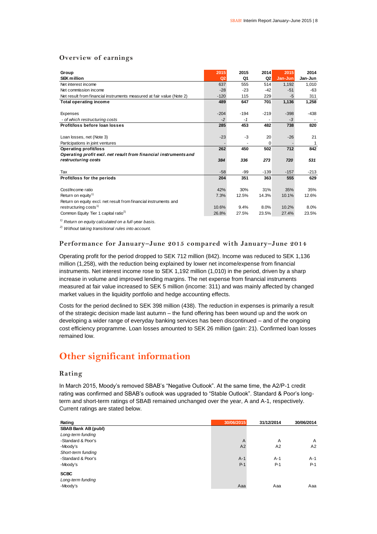### **Overview of earnings**

| Group                                                                 | 2015           | 2015   | 2014           | 2015    | 2014    |
|-----------------------------------------------------------------------|----------------|--------|----------------|---------|---------|
| <b>SEK million</b>                                                    | Q <sub>2</sub> | Q1     | Q <sub>2</sub> | Jan-Jun | Jan-Jun |
| Net interest income                                                   | 637            | 555    | 514            | 1,192   | 1,010   |
| Net commission income                                                 | $-28$          | $-23$  | $-42$          | $-51$   | $-63$   |
| Net result from financial instruments measured at fair value (Note 2) | $-120$         | 115    | 229            | $-5$    | 311     |
| Total operating income                                                | 489            | 647    | 701            | 1,136   | 1,258   |
|                                                                       |                |        |                |         |         |
| Expenses                                                              | $-204$         | $-194$ | $-219$         | $-398$  | $-438$  |
| - of which restructuring costs                                        | $-2$           | $-1$   |                | $-3$    |         |
| Profit/loss before loan losses                                        | 285            | 453    | 482            | 738     | 820     |
|                                                                       |                |        |                |         |         |
| Loan losses, net (Note 3)                                             | $-23$          | -3     | 20             | $-26$   | 21      |
| Participations in joint ventures                                      |                |        | $\Omega$       |         | 1       |
| <b>Operating profit/loss</b>                                          | 262            | 450    | 502            | 712     | 842     |
| Operating profit excl. net result from financial instruments and      |                |        |                |         |         |
| restructuring costs                                                   | 384            | 336    | 273            | 720     | 531     |
|                                                                       |                |        |                |         |         |
| Tax                                                                   | $-58$          | -99    | $-139$         | $-157$  | $-213$  |
| Profit/loss for the periods                                           | 204            | 351    | 363            | 555     | 629     |
|                                                                       |                |        |                |         |         |
| Cost/Income ratio                                                     | 42%            | 30%    | 31%            | 35%     | 35%     |
| Return on equity <sup>1)</sup>                                        | 7.3%           | 12.5%  | 14.3%          | 10.1%   | 12.6%   |
| Return on equity excl. net result from financial instruments and      |                |        |                |         |         |
| restructuring costs <sup>1)</sup>                                     | 10.6%          | 9.4%   | 8.0%           | 10.2%   | 8.0%    |
| Common Equity Tier 1 capital ratio <sup>2)</sup>                      | 26.8%          | 27.5%  | 23.5%          | 27.4%   | 23.5%   |

*1) Return on equity calculated on a full-year basis.*

*2) Without taking transitional rules into account.*

### **Performance for January–June 2015 compared with January–June 2014**

Operating profit for the period dropped to SEK 712 million (842). Income was reduced to SEK 1,136 million (1,258), with the reduction being explained by lower net income/expense from financial instruments. Net interest income rose to SEK 1,192 million (1,010) in the period, driven by a sharp increase in volume and improved lending margins. The net expense from financial instruments measured at fair value increased to SEK 5 million (income: 311) and was mainly affected by changed market values in the liquidity portfolio and hedge accounting effects.

Costs for the period declined to SEK 398 million (438). The reduction in expenses is primarily a result of the strategic decision made last autumn – the fund offering has been wound up and the work on developing a wider range of everyday banking services has been discontinued – and of the ongoing cost efficiency programme. Loan losses amounted to SEK 26 million (gain: 21). Confirmed loan losses remained low.

### **Other significant information**

### **Rating**

In March 2015, Moody's removed SBAB's "Negative Outlook". At the same time, the A2/P-1 credit rating was confirmed and SBAB's outlook was upgraded to "Stable Outlook". Standard & Poor's longterm and short-term ratings of SBAB remained unchanged over the year, A and A-1, respectively. Current ratings are stated below.

| Rating                     | 30/06/2015 | 31/12/2014 | 30/06/2014 |
|----------------------------|------------|------------|------------|
| <b>SBAB Bank AB (publ)</b> |            |            |            |
| Long-term funding          |            |            |            |
| -Standard & Poor's         | A          | A          | A          |
| -Moody's                   | A2         | A2         | A2         |
| Short-term funding         |            |            |            |
| -Standard & Poor's         | $A-1$      | $A-1$      | $A-1$      |
| -Moody's                   | $P-1$      | $P-1$      | $P-1$      |
| <b>SCBC</b>                |            |            |            |
| Long-term funding          |            |            |            |
| -Moody's                   | Aaa        | Aaa        | Aaa        |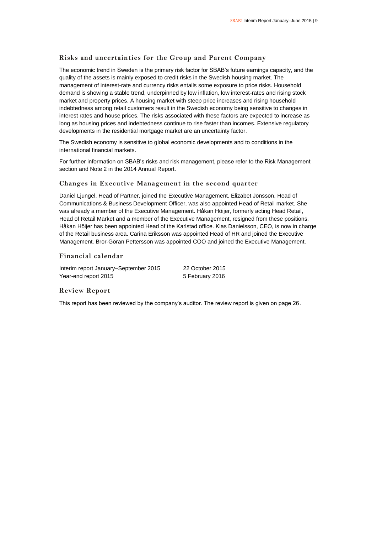### **Risks and uncertainties for the Group and Parent Company**

The economic trend in Sweden is the primary risk factor for SBAB's future earnings capacity, and the quality of the assets is mainly exposed to credit risks in the Swedish housing market. The management of interest-rate and currency risks entails some exposure to price risks. Household demand is showing a stable trend, underpinned by low inflation, low interest-rates and rising stock market and property prices. A housing market with steep price increases and rising household indebtedness among retail customers result in the Swedish economy being sensitive to changes in interest rates and house prices. The risks associated with these factors are expected to increase as long as housing prices and indebtedness continue to rise faster than incomes. Extensive regulatory developments in the residential mortgage market are an uncertainty factor.

The Swedish economy is sensitive to global economic developments and to conditions in the international financial markets.

For further information on SBAB's risks and risk management, please refer to the Risk Management section and Note 2 in the 2014 Annual Report.

### **Changes in Executive Management in the second quarter**

Daniel Ljungel, Head of Partner, joined the Executive Management. Elizabet Jönsson, Head of Communications & Business Development Officer, was also appointed Head of Retail market. She was already a member of the Executive Management. Håkan Höijer, formerly acting Head Retail, Head of Retail Market and a member of the Executive Management, resigned from these positions. Håkan Höijer has been appointed Head of the Karlstad office. Klas Danielsson, CEO, is now in charge of the Retail business area. Carina Eriksson was appointed Head of HR and joined the Executive Management. Bror-Göran Pettersson was appointed COO and joined the Executive Management.

### **Financial calendar**

Interim report January–September 2015 22 October 2015 Year-end report 2015 5 February 2016

### **Review Report**

This report has been reviewed by the company's auditor. The review report is given on page 26.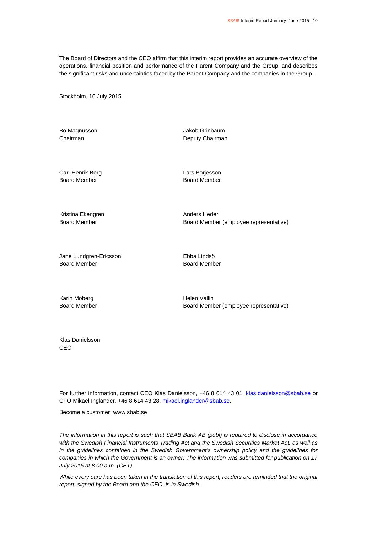The Board of Directors and the CEO affirm that this interim report provides an accurate overview of the operations, financial position and performance of the Parent Company and the Group, and describes the significant risks and uncertainties faced by the Parent Company and the companies in the Group.

Stockholm, 16 July 2015

Bo Magnusson **Bo Magnusson** Jakob Grinbaum

Chairman Deputy Chairman

Carl-Henrik Borg **Lars Börjesson** Board Member Board Member

Kristina Ekengren Anders Heder

Board Member **Board Member (employee representative)** 

Jane Lundgren-Ericsson Ebba Lindsö Board Member Board Member

Karin Moberg **Helen** Vallin

Board Member Board Member (employee representative)

Klas Danielsson CEO

For further information, contact CEO Klas Danielsson, +46 8 614 43 01, [klas.danielsson@sbab.se](mailto:klas.danielsson@sbab.se) or CFO Mikael Inglander, +46 8 614 43 28[, mikael.inglander@sbab.se.](mailto:mikael.inglander@sbab.se)

Become a customer[: www.sbab.se](http://www.sbab.se/)

*The information in this report is such that SBAB Bank AB (publ) is required to disclose in accordance with the Swedish Financial Instruments Trading Act and the Swedish Securities Market Act, as well as in the guidelines contained in the Swedish Government's ownership policy and the guidelines for companies in which the Government is an owner. The information was submitted for publication on 17 July 2015 at 8.00 a.m. (CET).*

*While every care has been taken in the translation of this report, readers are reminded that the original report, signed by the Board and the CEO, is in Swedish.*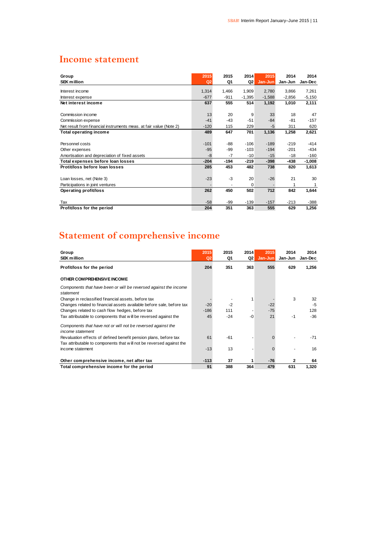# **Income statement**

| Group                                                              | 2015           | 2015   | 2014     | 2015     | 2014     | 2014     |
|--------------------------------------------------------------------|----------------|--------|----------|----------|----------|----------|
| <b>SEK million</b>                                                 | Q <sub>2</sub> | Q1     | Q2       | Jan-Jun  | Jan-Jun  | Jan-Dec  |
| Interest income                                                    | 1,314          | 1,466  | 1,909    | 2,780    | 3,866    | 7,261    |
| Interest expense                                                   | $-677$         | $-911$ | $-1,395$ | $-1,588$ | $-2,856$ | $-5,150$ |
| Net interest income                                                | 637            | 555    | 514      | 1,192    | 1,010    | 2,111    |
|                                                                    |                |        |          |          |          |          |
| Commission income                                                  | 13             | 20     | 9        | 33       | 18       | 47       |
| Commission expense                                                 | $-41$          | $-43$  | $-51$    | $-84$    | $-81$    | $-157$   |
| Net result from financial instruments meas. at fair value (Note 2) | $-120$         | 115    | 229      | $-5$     | 311      | 620      |
| <b>Total operating income</b>                                      | 489            | 647    | 701      | 1,136    | 1,258    | 2,621    |
|                                                                    |                |        |          |          |          |          |
| Personnel costs                                                    | $-101$         | -88    | $-106$   | $-189$   | $-219$   | $-414$   |
| Other expenses                                                     | $-95$          | -99    | $-103$   | $-194$   | $-201$   | $-434$   |
| Amortisation and depreciation of fixed assets                      | $-8$           | $-7$   | $-10$    | $-15$    | $-18$    | $-160$   |
| Total expenses before loan losses                                  | $-204$         | $-194$ | $-219$   | $-398$   | $-438$   | $-1,008$ |
| Protit/loss before loan losses                                     | 285            | 453    | 482      | 738      | 820      | 1,613    |
|                                                                    |                |        |          |          |          |          |
| Loan losses, net (Note 3)                                          | $-23$          | $-3$   | 20       | $-26$    | 21       | 30       |
| Participations in joint ventures                                   |                |        | $\Omega$ |          |          | 1        |
| <b>Operating profit/loss</b>                                       | 262            | 450    | 502      | 712      | 842      | 1,644    |
|                                                                    |                |        |          |          |          |          |
| Tax                                                                | $-58$          | -99    | $-139$   | $-157$   | $-213$   | -388     |
| Profit/loss for the period                                         | 204            | 351    | 363      | 555      | 629      | 1,256    |

# **Statement of comprehensive income**

| Group<br><b>SEK million</b>                                                      | 2015<br>Q <sub>2</sub> | 2015<br>Q1 | 2014<br>Q2 | 2015<br>Jan-Jun | 2014<br>Jan-Jun | 2014<br>Jan-Dec |
|----------------------------------------------------------------------------------|------------------------|------------|------------|-----------------|-----------------|-----------------|
| Profit/loss for the period                                                       | 204                    | 351        | 363        | 555             | 629             | 1,256           |
| OTHER COMPREHENSIVE INCOME                                                       |                        |            |            |                 |                 |                 |
| Components that have been or will be reversed against the income<br>statement    |                        |            |            |                 |                 |                 |
| Change in reclassified financial assets, before tax                              |                        |            |            |                 | 3               | 32              |
| Changes related to financial assets available before sale, before tax            | $-20$                  | $-2$       |            | $-22$           |                 | $-5$            |
| Changes related to cash flow hedges, before tax                                  | $-186$                 | 111        |            | $-75$           |                 | 128             |
| Tax attributable to components that will be reversed against the                 | 45                     | -24        | -0         | 21              | $-1$            | $-36$           |
| Components that have not or will not be reversed against the<br>income statement |                        |            |            |                 |                 |                 |
| Revaluation effects of defined benefit pension plans, before tax                 | 61                     | -61        |            |                 |                 | $-71$           |
| Tax attributable to components that will not be reversed against the             |                        |            |            |                 |                 |                 |
| income statement                                                                 | $-13$                  | 13         |            |                 |                 | 16              |
| Other comprehensive income, net after tax                                        | $-113$                 | 37         |            | $-76$           | 2               | 64              |
| Total comprehensive income for the period                                        | 91                     | 388        | 364        | 479             | 631             | 1,320           |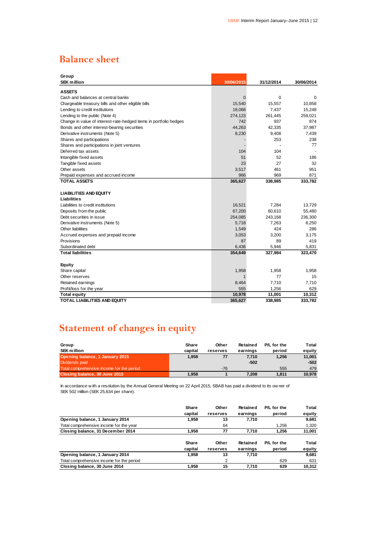# **Balance sheet**

| Group                                                             |                |            |            |
|-------------------------------------------------------------------|----------------|------------|------------|
| <b>SEK million</b>                                                | 30/06/2015     | 31/12/2014 | 30/06/2014 |
| <b>ASSETS</b>                                                     |                |            |            |
| Cash and balances at central banks                                | $\overline{0}$ | 0          | 0          |
| Chargeable treasury bills and other eligible bills                | 15,540         | 15,557     | 10,858     |
| Lending to credit institutions                                    | 18,068         | 7,437      | 15,248     |
| Lending to the public (Note 4)                                    | 274,123        | 261,445    | 259,021    |
| Change in value of interest-rate-hedged items in portfolio hedges | 742            | 937        | 874        |
| Bonds and other interest-bearing securities                       | 44,263         | 42,335     | 37,987     |
| Derivative instruments (Note 5)                                   | 8,230          | 9,408      | 7,439      |
| Shares and participations                                         |                | 253        | 238        |
| Shares and participations in joint ventures                       |                |            | 77         |
| Deferred tax assets                                               | 104            | 104        |            |
| Intangible fixed assets                                           | 51             | 52         | 186        |
| Tangible fixed assets                                             | 23             | 27         | 32         |
| Other assets                                                      | 3,517          | 461        | 951        |
| Prepaid expenses and accrued income                               | 966            | 969        | 871        |
| <b>TOTAL ASSETS</b>                                               | 365,627        | 338,985    | 333,782    |
| <b>LIABILITIES AND EQUITY</b>                                     |                |            |            |
| Liabilities                                                       |                |            |            |
| Liabilities to credit institutions                                | 16,521         | 7.284      | 13.729     |
| Deposits from the public                                          | 67,200         | 60,610     | 55,480     |
| Debt securities in issue                                          | 254,085        | 243,168    | 236,300    |
| Derivative instruments (Note 5)                                   | 5,718          | 7,263      | 8,250      |
| Other liabilities                                                 | 1,549          | 424        | 286        |
| Accrued expenses and prepaid income                               | 3,053          | 3,200      | 3,175      |
| Provisions                                                        | 87             | 89         | 419        |
| Subordinated debt                                                 | 6,436          | 5,946      | 5,831      |
| <b>Total liabilities</b>                                          | 354,649        | 327,984    | 323,470    |
| Equity                                                            |                |            |            |
| Share capital                                                     | 1,958          | 1,958      | 1,958      |
| Other reserves                                                    | 1              | 77         | 15         |
| Retained earnings                                                 | 8,464          | 7,710      | 7,710      |
| Profit/loss for the year                                          | 555            | 1,256      | 629        |
| <b>Total equity</b>                                               | 10,978         | 11,001     | 10,312     |
| TOTAL LIABILITIES AND EQUITY                                      | 365,627        | 338,985    | 333,782    |

# **Statement of changes in equity**

| Group                                                                                                                     | Share   | Other    | Retained | P/L for the | Total  |  |
|---------------------------------------------------------------------------------------------------------------------------|---------|----------|----------|-------------|--------|--|
| <b>SEK million</b>                                                                                                        | capital | reserves | earnings | period      | equity |  |
| Opening balance, 1 January 2015                                                                                           | 1.958   | 77       | 7.710    | 1.256       | 11,001 |  |
| Dividends paid                                                                                                            |         |          | $-502$   |             | $-502$ |  |
| Total comprehensive income for the period                                                                                 |         | $-76$    |          | 555         | 479    |  |
| Closing balance, 30 June 2015                                                                                             | 1.958   |          | 7.208    | 1.811       | 10,978 |  |
|                                                                                                                           |         |          |          |             |        |  |
| In accordance with a resolution by the Annual General Meeting on 22 April 2015, SBAB has paid a dividend to its ow ner of |         |          |          |             |        |  |
| SEK 502 million (SEK 25,634 per share).                                                                                   |         |          |          |             |        |  |

|                                           | Share        | Other    | Retained | P/L for the | Total  |
|-------------------------------------------|--------------|----------|----------|-------------|--------|
|                                           | capital      | reserves | earnings | period      | equity |
| Opening balance, 1 January 2014           | 1,958        | 13       | 7,710    |             | 9,681  |
| Total comprehensive income for the year   |              | 64       |          | 1.256       | 1,320  |
| Closing balance, 31 December 2014         | 1.958        | 77       | 7.710    | 1,256       | 11,001 |
|                                           | <b>Share</b> | Other    | Retained | P/L for the | Total  |
|                                           | capital      | reserves | earnings | period      | equity |
| Opening balance, 1 January 2014           | 1.958        | 13       | 7,710    |             | 9.681  |
| Total comprehensive income for the period |              | 2        |          | 629         | 631    |
| Closing balance, 30 June 2014             | 1.958        | 15       | 7.710    | 629         | 10.312 |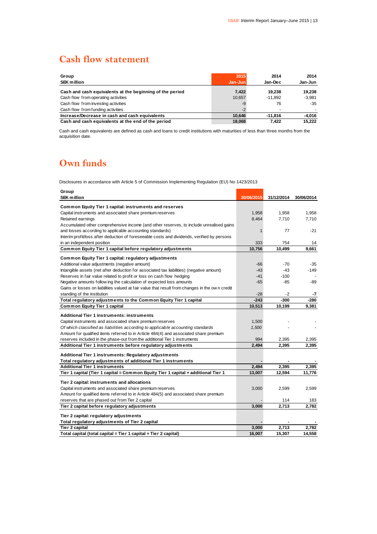# **Cash flow statement**

| Group<br><b>SEK million</b>                              | 2015<br>Jan-Jun | 2014<br>Jan-Dec | 2014<br>Jan-Jun |
|----------------------------------------------------------|-----------------|-----------------|-----------------|
| Cash and cash equivalents at the beginning of the period | 7.422           | 19.238          | 19.238          |
| Cash flow from operating activities                      | 10.657          | $-11.892$       | $-3.981$        |
| Cash flow from investing activities                      | -9              | 76              | $-35$           |
| Cash flow from funding activities                        | $-2$            |                 |                 |
| Increase/Decrease in cash and cash equivalents           | 10.646          | $-11.816$       | -4.016          |
| Cash and cash equivalents at the end of the period       | 18.068          | 7.422           | 15.222          |

Cash and cash equivalents are defined as cash and loans to credit institutions with maturities of less than three months from the acquisition date.

# **Own funds**

Disclosures in accordance with Article 5 of Commission Implementing Regulation (EU) No 1423/2013

| Group<br><b>SEK million</b>                                                                    | 30/06/2015   | 31/12/2014 | 30/06/2014 |
|------------------------------------------------------------------------------------------------|--------------|------------|------------|
| Common Equity Tier 1 capital: instruments and reserves                                         |              |            |            |
| Capital instruments and associated share premium reserves                                      | 1,958        | 1,958      | 1,958      |
| Retained earnings                                                                              | 8,464        | 7,710      | 7,710      |
| Accumulated other comprehensive income (and other reserves, to include unrealised gains        |              |            |            |
| and losses according to applicable accounting standards)                                       | $\mathbf{1}$ | 77         | $-21$      |
| Interim profit/loss after deduction of foreseeable costs and dividends, verified by persons    |              |            |            |
| in an independent position                                                                     | 333          | 754        | 14         |
| Common Equity Tier 1 capital before regulatory adjustments                                     | 10,756       | 10,499     | 9,661      |
| Common Equity Tier 1 capital: regulatory adjustments                                           |              |            |            |
| Additional value adjustments (negative amount)                                                 | $-66$        | $-70$      | $-35$      |
| Intangible assets (net after deduction for associated tax liabilities) (negative amount)       | $-43$        | $-43$      | $-149$     |
| Reserves in fair value related to profit or loss on cash flow hedging                          | $-41$        | $-100$     |            |
| Negative amounts follow ing the calculation of expected loss amounts                           | $-65$        | $-85$      | -89        |
| Gains or losses on liabilities valued at fair value that result from changes in the own credit |              |            |            |
| standing of the institution                                                                    | $-28$        | -2         | -7         |
| Total regulatory adjustments to the Common Equity Tier 1 capital                               | $-243$       | $-300$     | -280       |
| <b>Common Equity Tier 1 capital</b>                                                            | 10,513       | 10,199     | 9,381      |
| Additional Tier 1 instruments: instruments                                                     |              |            |            |
| Capital instruments and associated share premium reserves                                      | 1,500        |            |            |
| Of which classified as liabilities according to applicable accounting standards                | 1,500        |            |            |
| Amount for qualified items referred to in Article 484(4) and associated share premium          |              |            |            |
| reserves included in the phase-out from the additional Tier 1 instruments                      | 994          | 2,395      | 2,395      |
| Additional Tier 1 instruments before regulatory adjustments                                    | 2,494        | 2,395      | 2,395      |
| Additional Tier 1 instruments: Regulatory adjustments                                          |              |            |            |
| Total regulatory adjustments of additional Tier 1 instruments                                  |              |            |            |
| <b>Additional Tier 1 instruments</b>                                                           | 2,494        | 2,395      | 2,395      |
| Tier 1 capital (Tier 1 capital = Common Equity Tier 1 capital + additional Tier 1              | 13,007       | 12,594     | 11,776     |
| Tier 2 capital: instruments and allocations                                                    |              |            |            |
| Capital instruments and associated share premium reserves                                      | 3,000        | 2,599      | 2,599      |
| Amount for qualified items referred to in Article 484(5) and associated share premium          |              |            |            |
| reserves that are phased out from Tier 2 capital                                               |              | 114        | 183        |
| Tier 2 capital before regulatory adjustments                                                   | 3,000        | 2,713      | 2,782      |
| Tier 2 capital: regulatory adjustments                                                         |              |            |            |
| Total regulatory adjustments of Tier 2 capital                                                 |              |            |            |
| <b>Tier 2 capital</b>                                                                          | 3,000        | 2,713      | 2,782      |
| Total capital (total capital = Tier 1 capital + Tier 2 capital)                                | 16,007       | 15,307     | 14,558     |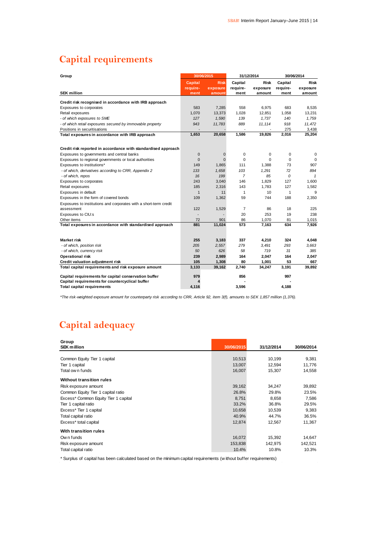$\bar{z}$ 

# **Capital requirements**

| Group                                                             | 30/06/2015     |              |                | 31/12/2014  | 30/06/2014 |              |
|-------------------------------------------------------------------|----------------|--------------|----------------|-------------|------------|--------------|
|                                                                   | <b>Capital</b> | <b>Risk</b>  | Capital        | <b>Risk</b> | Capital    | <b>Risk</b>  |
|                                                                   | require-       | exposure     | require-       | exposure    | require-   | exposure     |
| <b>SEK million</b>                                                | ment           | amount       | ment           | amount      | ment       | amount       |
| Credit risk recognised in accordance with IRB approach            |                |              |                |             |            |              |
| <b>Exposures to corporates</b>                                    | 583            | 7,285        | 558            | 6,975       | 683        | 8,535        |
| Retail exposures                                                  | 1,070          | 13,373       | 1,028          | 12,851      | 1,058      | 13,231       |
| - of which exposures to SME                                       | 127            | 1,590        | 139            | 1,737       | 140        | 1,759        |
| - of which retail exposures secured by immovable property         | 943            | 11,783       | 889            | 11,114      | 918        | 11,472       |
| Positions in securitisations                                      |                |              |                |             | 275        | 3,438        |
| Total exposures in accordance with IRB approach                   | 1,653          | 20,658       | 1,586          | 19,826      | 2,016      | 25,204       |
|                                                                   |                |              |                |             |            |              |
| Credit risk reported in accordance with standardised approach     |                |              |                |             |            |              |
| Exposures to governments and central banks                        | $\mathbf 0$    | $\mathbf{0}$ | 0              | 0           | 0          | $\mathbf 0$  |
| Exposures to regional governments or local authorities            | $\mathbf 0$    | $\Omega$     | $\Omega$       | $\Omega$    | $\Omega$   | $\Omega$     |
| Exposures to institutions*                                        | 149            | 1,865        | 111            | 1,388       | 73         | 907          |
| - of which, derivatives according to CRR, Appendix 2              | 133            | 1,658        | 103            | 1,291       | 72         | 894          |
| - of which, repos                                                 | 16             | 199          | $\overline{7}$ | 85          | 0          | $\mathbf{1}$ |
| Exposures to corporates                                           | 243            | 3,040        | 146            | 1,829       | 127        | 1,600        |
| Retail exposures                                                  | 185            | 2,316        | 143            | 1,783       | 127        | 1,582        |
| Exposures in default                                              | $\mathbf{1}$   | 11           | 1              | 10          | 1          | 9            |
| Exposures in the form of covered bonds                            | 109            | 1,362        | 59             | 744         | 188        | 2,350        |
| Exposures to institutions and corporates with a short-term credit |                |              |                |             |            |              |
| assessment                                                        | 122            | 1,529        | $\overline{7}$ | 86          | 18         | 225          |
| Exposures to CIU:s                                                |                |              | 20             | 253         | 19         | 238          |
| Other items                                                       | 72             | 901          | 86             | 1.070       | 81         | 1,015        |
| Total exposures in accordance with standardised approach          | 881            | 11,024       | 573            | 7,163       | 634        | 7,926        |
|                                                                   |                |              |                |             |            |              |
| <b>Market risk</b>                                                | 255            | 3,183        | 337            | 4,210       | 324        | 4,048        |
| - of which, position risk                                         | 205            | 2,557        | 279            | 3,491       | 293        | 3,663        |
| - of which, currency risk                                         | 50             | 626          | 58             | 719         | 31         | 385          |
| Operational risk                                                  | 239            | 2,989        | 164            | 2,047       | 164        | 2,047        |
| Credit valuation adjustment risk                                  | 105            | 1,308        | 80             | 1,001       | 53         | 667          |
| Total capital requirements and risk exposure amount               | 3,133          | 39,162       | 2,740          | 34,247      | 3,191      | 39,892       |
| Capital requirements for capital conservation buffer              | 979            |              | 856            |             | 997        |              |
| Capital requirements for countercyclical buffer                   |                |              |                |             |            |              |
| <b>Total capital requirements</b>                                 | 4,116          |              | 3,596          |             | 4,188      |              |

*\*The risk-weighted exposure amount for counterparty risk according to CRR, Article 92, item 3(f), amounts to SEK 1,857 million (1,376).*

# **Capital adequacy**

| Group<br><b>SEK million</b>          | 30/06/2015 | 31/12/2014 | 30/06/2014 |
|--------------------------------------|------------|------------|------------|
|                                      |            |            |            |
| Common Equity Tier 1 capital         | 10,513     | 10,199     | 9,381      |
| Tier 1 capital                       | 13,007     | 12,594     | 11,776     |
| Total ow n funds                     | 16,007     | 15,307     | 14,558     |
| <b>Without transition rules</b>      |            |            |            |
| Risk exposure amount                 | 39,162     | 34,247     | 39,892     |
| Common Equity Tier 1 capital ratio   | 26.8%      | 29.8%      | 23.5%      |
| Excess* Common Equity Tier 1 capital | 8,751      | 8,658      | 7,586      |
| Tier 1 capital ratio                 | 33.2%      | 36.8%      | 29.5%      |
| Excess* Tier 1 capital               | 10,658     | 10,539     | 9,383      |
| Total capital ratio                  | 40.9%      | 44.7%      | 36.5%      |
| Excess* total capital                | 12,874     | 12,567     | 11,367     |
| With transition rules                |            |            |            |
| Own funds                            | 16,072     | 15,392     | 14,647     |
| Risk exposure amount                 | 153,838    | 142,975    | 142,521    |
| Total capital ratio                  | 10.4%      | 10.8%      | 10.3%      |

\* Surplus of capital has been calculated based on the minimum capital requirements (w ithout buffer requirements)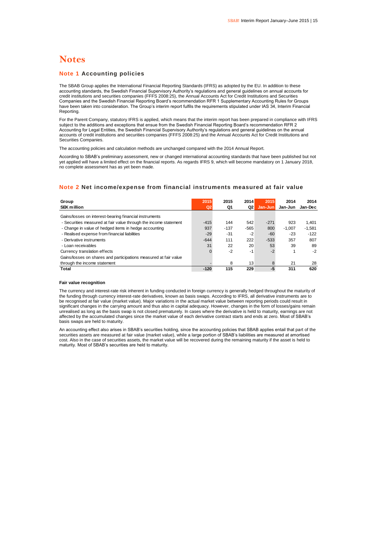### **Notes**

### **Note 1 Accounting policies**

The SBAB Group applies the International Financial Reporting Standards (IFRS) as adopted by the EU. In addition to these accounting standards, the Swedish Financial Supervisory Authority's regulations and general guidelines on annual accounts for credit institutions and securities companies (FFFS 2008:25), the Annual Accounts Act for Credit Institutions and Securities Companies and the Swedish Financial Reporting Board's recommendation RFR 1 Supplementary Accounting Rules for Groups have been taken into consideration. The Group's interim report fulfils the requirements stipulated under IAS 34, Interim Financial Reporting.

For the Parent Company, statutory IFRS is applied, which means that the interim report has been prepared in compliance with IFRS subject to the additions and exceptions that ensue from the Swedish Financial Reporting Board's recommendation RFR 2 Accounting for Legal Entities, the Swedish Financial Supervisory Authority's regulations and general guidelines on the annual accounts of credit institutions and securities companies (FFFS 2008:25) and the Annual Accounts Act for Credit Institutions and Securities Companies.

The accounting policies and calculation methods are unchanged compared with the 2014 Annual Report.

According to SBAB's preliminary assessment, new or changed international accounting standards that have been published but not yet applied will have a limited effect on the financial reports. As regards IFRS 9, which will become mandatory on 1 January 2018, no complete assessment has as yet been made.

### **Note 2 Net income/expense from financial instruments measured at fair value**

| Group                                                            | 2015           | 2015   | 2014   | 2015    | 2014     | 2014     |
|------------------------------------------------------------------|----------------|--------|--------|---------|----------|----------|
| <b>SEK million</b>                                               | Q <sub>2</sub> | Q1     | Q2     | Jan-Jun | Jan-Jun  | Jan-Dec  |
| Gains/losses on interest-bearing financial instruments           |                |        |        |         |          |          |
| - Securities measured at fair value through the income statement | $-415$         | 144    | 542    | $-271$  | 923      | 1.401    |
| - Change in value of hedged items in hedge accounting            | 937            | $-137$ | $-565$ | 800     | $-1.007$ | $-1,581$ |
| - Realised expense from financial liabilities                    | $-29$          | $-31$  | $-2$   | $-60$   | $-23$    | $-122$   |
| - Derivative instruments                                         | $-644$         | 111    | 222    | $-533$  | 357      | 807      |
| - Loan receivables                                               | 31             | 22     | 20     | 53      | 39       | 89       |
| Currency translation effects                                     |                | $-2$   | -1     | $-2$    |          | $-2$     |
| Gains/losses on shares and participations measured at fair value |                |        |        |         |          |          |
| through the income statement                                     |                | 8      | 13     | 8       | 21       | 28       |
| Total                                                            | $-120$         | 115    | 229    | -5      | 311      | 620      |
|                                                                  |                |        |        |         |          |          |

#### **Fair value recognition**

The currency and interest-rate risk inherent in funding conducted in foreign currency is generally hedged throughout the maturity of the funding through currency interest-rate derivatives, known as basis swaps. According to IFRS, all derivative instruments are to be recognised at fair value (market value). Major variations in the actual market value between reporting periods could result in significant changes in the carrying amount and thus also in capital adequacy. However, changes in the form of losses/gains remain unrealised as long as the basis swap is not closed prematurely. In cases where the derivative is held to maturity, earnings are not affected by the accumulated changes since the market value of each derivative contract starts and ends at zero. Most of SBAB's basis swaps are held to maturity.

An accounting effect also arises in SBAB's securities holding, since the accounting policies that SBAB applies entail that part of the securities assets are measured at fair value (market value), while a large portion of SBAB's liabilities are measured at amortised cost. Also in the case of securities assets, the market value will be recovered during the remaining maturity if the asset is held to maturity. Most of SBAB's securities are held to maturity.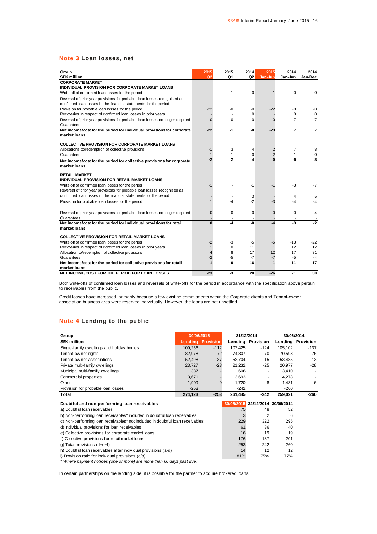### **Note 3 Loan losses, net**

| Group                                                                         | 2015           | 2015                   | 2014           | 2015             | 2014           | 2014           |
|-------------------------------------------------------------------------------|----------------|------------------------|----------------|------------------|----------------|----------------|
| <b>SEK million</b>                                                            | Q <sub>2</sub> | Q1                     | Q <sub>2</sub> | Jan-Jun          | Jan-Jun        | Jan-Dec        |
| <b>CORPORATE MARKET</b>                                                       |                |                        |                |                  |                |                |
| INDIVIDUAL PROVISION FOR CORPORATE MARKET LOANS                               |                |                        |                |                  |                |                |
| Write-off of confirmed loan losses for the period                             |                | $-1$                   | -0             | $-1$             | $-0$           | -0             |
| Reversal of prior year provisions for probable loan losses recognised as      |                |                        |                |                  |                |                |
| confirmed loan losses in the financial statements for the period              |                |                        |                |                  |                |                |
| Provision for probable loan losses for the period                             | $-22$          | -0                     | -0             | $-22$            | -0             | -0             |
| Recoveries in respect of confirmed loan losses in prior years                 |                |                        | $\Omega$       |                  | $\Omega$       | 0              |
| Reversal of prior year provisions for probable loan losses no longer required | $\Omega$       | 0                      | 0              | $\Omega$         | 7              | $\overline{7}$ |
| Guarantees                                                                    |                |                        |                |                  |                |                |
| Net income/cost for the period for individual provisions for corporate        | $-22$          | $-1$                   | -0             | $-23$            | $\overline{7}$ | $\overline{7}$ |
| market loans                                                                  |                |                        |                |                  |                |                |
|                                                                               |                |                        |                |                  |                |                |
| <b>COLLECTIVE PROVISION FOR CORPORATE MARKET LOANS</b>                        |                |                        |                |                  | $\overline{7}$ |                |
| Allocations to/redemption of collective provisions                            | $-1$           | 3                      | 4              | $\overline{2}$   |                | 8              |
| Guarantees                                                                    | $-1$<br>$-2$   | $-1$<br>$\overline{2}$ | 0              | $-2$<br>$\Omega$ | $-1$<br>6      | 0<br>8         |
| Net income/cost for the period for collective provisions for corporate        |                |                        |                |                  |                |                |
| market loans                                                                  |                |                        |                |                  |                |                |
| <b>RETAIL MARKET</b>                                                          |                |                        |                |                  |                |                |
| INDIVIDUAL PROVISION FOR RETAIL MARKET LOANS                                  |                |                        |                |                  |                |                |
| Write-off of confirmed loan losses for the period                             | -1             |                        | $-1$           | -1               | $-3$           | -7             |
| Reversal of prior year provisions for probable loan losses recognised as      |                |                        |                |                  |                |                |
| confirmed loan losses in the financial statements for the period              |                |                        | 3              |                  | 4              | 5              |
| Provision for probable loan losses for the period                             |                | -4                     | $-2$           | -3               | -4             |                |
|                                                                               |                |                        |                |                  |                |                |
| Reversal of prior year provisions for probable loan losses no longer required | $\Omega$       | 0                      | 0              | $\mathbf{0}$     | 0              | 4              |
| Guarantees                                                                    |                |                        |                |                  |                |                |
| Net income/cost for the period for individual provisions for retail           | $\Omega$       | -4                     | -0             | -4               | $-3$           | $-2$           |
| market loans                                                                  |                |                        |                |                  |                |                |
|                                                                               |                |                        |                |                  |                |                |
| <b>COLLECTIVE PROVISION FOR RETAIL MARKET LOANS</b>                           |                |                        |                |                  |                |                |
| Write-off of confirmed loan losses for the period                             | -2             | -3                     | -5             | -5               | $-13$          | -22            |
| Recoveries in respect of confirmed loan losses in prior years                 |                | $\Omega$               | 11             | $\mathbf 1$      | 12             | 12             |
| Allocation to/redemption of collective provisions                             | 4              | 8                      | 17             | 12               | 17             | 31             |
| Guarantees                                                                    | $-2$           | -5                     | $-7$           | $-7$             | $-5$           | -4             |
| Net income/cost for the period for collective provisions for retail           | 1              | $\mathbf 0$            | 16             | $\mathbf 1$      | 11             | 17             |
| market loans                                                                  |                |                        |                |                  |                |                |
| NET INCOME/COST FOR THE PERIOD FOR LOAN LOSSES                                | $-23$          | $-3$                   | 20             | $-26$            | 21             | 30             |

Both write-offs of confirmed loan losses and reversals of write-offs for the period in accordance with the specification above pertain to receivables from the public.

Credit losses have increased, primarily because a few existing commitments within the Corporate clients and Tenant-owner association business area were reserved individually. However, the loans are not unsettled.

### **Note 4 Lending to the public**

| Group                                                                         | 30/06/2015                                       |                          | 31/12/2014 |                                  | 30/06/2014 |                   |
|-------------------------------------------------------------------------------|--------------------------------------------------|--------------------------|------------|----------------------------------|------------|-------------------|
| <b>SEK million</b>                                                            |                                                  | <b>Lending Provision</b> |            | Lending Provision                |            | Lending Provision |
| Single-family dw ellings and holiday homes                                    | 109,256                                          | $-112$                   | 107,425    | $-124$                           | 105,102    | $-137$            |
| Tenant-ow ner rights                                                          | 82,978                                           | $-72$                    | 74,307     | $-70$                            | 70,598     | $-76$             |
| Tenant-ow ner associations                                                    | 52,498                                           | $-37$                    | 52,704     | $-15$                            | 53,485     | $-13$             |
| Private multi-family dw ellings                                               | 23,727                                           | $-23$                    | 21,232     | $-25$                            | 20,977     | $-28$             |
| Municipal multi-familiy dwellings                                             | 337                                              |                          | 606        |                                  | 3,410      |                   |
| Commercial properties                                                         | 3,671                                            |                          | 3,693      | ٠                                | 4,278      | ٠                 |
| Other                                                                         | 1,909                                            | $-9$                     | 1,720      | -8                               | 1,431      | -6                |
| Provision for probable loan losses                                            | $-253$                                           |                          | $-242$     |                                  | $-260$     |                   |
| Total                                                                         | 274,123                                          | $-253$                   | 261,445    | $-242$                           | 259,021    | $-260$            |
| Doubtful and non-performing loan receivables                                  |                                                  |                          |            | 30/06/2015 31/12/2014 30/06/2014 |            |                   |
| a) Doubtful loan receivables                                                  |                                                  |                          | 75         | 48                               | 52         |                   |
| b) Non-performing loan receivables* included in doubtful loan receivables     |                                                  |                          | 3          | $\overline{2}$                   | 6          |                   |
| c) Non-performing loan receivables* not included in doubtful loan receivables |                                                  |                          | 229        | 322                              | 295        |                   |
| d) Individual provisions for loan receivables                                 |                                                  |                          | 61         | 36                               | 40         |                   |
| e) Collective provisions for corporate market loans                           |                                                  |                          |            | 19                               | 19         |                   |
|                                                                               | f) Collective provisions for retail market loans |                          |            |                                  | 201        |                   |
|                                                                               |                                                  |                          | 176        | 187                              |            |                   |
| g) Total provisions $(d+e+f)$                                                 |                                                  |                          | 253        | 242                              | 260        |                   |
| h) Doubtful loan receivables after individual provisions (a-d)                |                                                  |                          | 14         | 12                               | 12         |                   |

*\* Where payment notices (one or more) are more than 60 days past due.*

In certain partnerships on the lending side, it is possible for the partner to acquire brokered loans.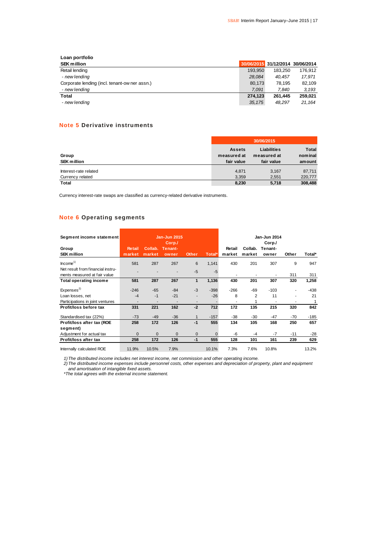| Loan portfolio                                |         |                                  |         |
|-----------------------------------------------|---------|----------------------------------|---------|
| <b>SEK million</b>                            |         | 30/06/2015 31/12/2014 30/06/2014 |         |
| Retail lending                                | 193.950 | 183.250                          | 176.912 |
| - new lending                                 | 28.084  | 40.457                           | 17.971  |
| Corporate lending (incl. tenant-ow ner assn.) | 80.173  | 78.195                           | 82,109  |
| - new lending                                 | 7.091   | 7.840                            | 3.193   |
| Total                                         | 274.123 | 261.445                          | 259.021 |
| - new lending                                 | 35,175  | 48.297                           | 21.164  |

### **Note 5 Derivative instruments**

|                                           | 30/06/2015                                 |                                          |                                   |  |  |  |
|-------------------------------------------|--------------------------------------------|------------------------------------------|-----------------------------------|--|--|--|
| Group<br><b>SEK million</b>               | <b>Assets</b><br>measured at<br>fair value | Liabilities<br>measured at<br>fair value | <b>Total</b><br>nominal<br>amount |  |  |  |
| Interest-rate related<br>Currency related | 4,871<br>3,359                             | 3,167<br>2,551                           | 87,711<br>220,777                 |  |  |  |
| <b>Total</b>                              | 8,230                                      | 5,718                                    | 308,488                           |  |  |  |

Currency interest-rate swaps are classified as currency-related derivative instruments.

### **Note 6 Operating segments**

| Segment income statement          |               |         | Jan-Jun 2015             |              |          |        |         | Jan-Jun 2014 |       |        |
|-----------------------------------|---------------|---------|--------------------------|--------------|----------|--------|---------|--------------|-------|--------|
|                                   |               |         | Corp./                   |              |          |        |         | Corp./       |       |        |
| Group                             | <b>Retail</b> | Collab. | Tenant-                  |              |          | Retail | Collab. | Tenant-      |       |        |
| <b>SEK</b> million                | market        | market  | owner                    | <b>Other</b> | Total*   | market | market  | owner        | Other | Total* |
| $h$ come <sup>1)</sup>            | 581           | 287     | 267                      | 6            | 1,141    | 430    | 201     | 307          | 9     | 947    |
| Net result from financial instru- |               |         |                          |              |          |        |         |              |       |        |
| ments measured at fair value      |               |         |                          | $-5$         | $-5$     |        |         |              | 311   | 311    |
| <b>Total operating income</b>     | 581           | 287     | 267                      | $\mathbf{1}$ | 1,136    | 430    | 201     | 307          | 320   | 1,258  |
|                                   |               |         |                          |              |          |        |         |              |       |        |
| Expenses <sup>2)</sup>            | $-246$        | $-65$   | $-84$                    | $-3$         | $-398$   | $-266$ | -69     | $-103$       | ۰     | -438   |
| Loan losses, net                  | $-4$          | $-1$    | $-21$                    |              | $-26$    | 8      | 2       | 11           | ٠     | 21     |
| Participations in joint ventures  |               | ٠       | $\overline{\phantom{a}}$ |              |          | ٠      |         |              |       |        |
| Profit/loss before tax            | 331           | 221     | 162                      | $-2$         | 712      | 172    | 135     | 215          | 320   | 842    |
| Standardised tax (22%)            | $-73$         | $-49$   | $-36$                    |              | $-157$   | $-38$  | -30     | $-47$        | $-70$ | $-185$ |
| Profit/loss after tax (ROE        | 258           | 172     | 126                      | $-1$         | 555      | 134    | 105     | 168          | 250   | 657    |
| segment)                          |               |         |                          |              |          |        |         |              |       |        |
| Adjustment for actual tax         | $\mathbf{0}$  | 0       | $\mathbf 0$              | $\mathbf{0}$ | $\Omega$ | -6     | -4      | $-7$         | $-11$ | $-28$  |
| Profit/loss after tax             | 258           | 172     | 126                      | $-1$         | 555      | 128    | 101     | 161          | 239   | 629    |
| Internally calculated ROE         | 11.9%         | 10.5%   | 7.9%                     |              | 10.1%    | 7.3%   | 7.6%    | 10.8%        |       | 13.2%  |

*1)The distributed income includes net interest income, net commission and other operating income.*

*2)The distributed income expenses include personnel costs, other expenses and depreciation of property, plant and equipment and amortisation of intangible fixed assets.*

*\*The total agrees with the external income statement.*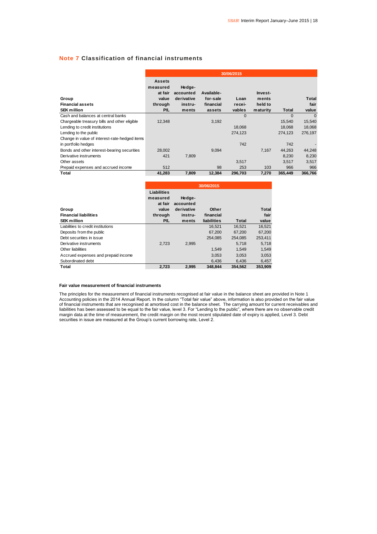### **Note 7 Classification of financial instruments**

|                                                        | 30/06/2015                                                      |                                                       |                                               |                          |                                         |          |                        |  |  |
|--------------------------------------------------------|-----------------------------------------------------------------|-------------------------------------------------------|-----------------------------------------------|--------------------------|-----------------------------------------|----------|------------------------|--|--|
| Group<br><b>Financial assets</b><br><b>SEK million</b> | <b>Assets</b><br>measured<br>at fair<br>value<br>through<br>P/L | Hedge-<br>accounted<br>derivative<br>instru-<br>ments | Available-<br>for-sale<br>financial<br>assets | Loan<br>recei-<br>vables | Invest-<br>ments<br>held to<br>maturity | Total    | Total<br>fair<br>value |  |  |
| Cash and balances at central banks                     |                                                                 |                                                       |                                               | $\Omega$                 |                                         | $\Omega$ | $\Omega$               |  |  |
| Chargeable treasury bills and other eligible           | 12,348                                                          |                                                       | 3,192                                         |                          |                                         | 15,540   | 15,540                 |  |  |
| Lending to credit institutions                         |                                                                 |                                                       |                                               | 18,068                   |                                         | 18,068   | 18,068                 |  |  |
| Lending to the public                                  |                                                                 |                                                       |                                               | 274,123                  |                                         | 274,123  | 276,197                |  |  |
| Change in value of interest-rate-hedged items          |                                                                 |                                                       |                                               |                          |                                         |          |                        |  |  |
| in portfolio hedges                                    |                                                                 |                                                       |                                               | 742                      |                                         | 742      |                        |  |  |
| Bonds and other interest-bearing securities            | 28,002                                                          |                                                       | 9,094                                         |                          | 7,167                                   | 44,263   | 44,248                 |  |  |
| Derivative instruments                                 | 421                                                             | 7,809                                                 |                                               |                          |                                         | 8,230    | 8,230                  |  |  |
| Other assets                                           |                                                                 |                                                       |                                               | 3,517                    |                                         | 3,517    | 3,517                  |  |  |
| Prepaid expenses and accrued income                    | 512                                                             |                                                       | 98                                            | 253                      | 103                                     | 966      | 966                    |  |  |
| Total                                                  | 41,283                                                          | 7,809                                                 | 12,384                                        | 296,703                  | 7,270                                   | 365,449  | 366,766                |  |  |

|                                     | 30/06/2015  |            |             |         |         |  |  |  |  |  |
|-------------------------------------|-------------|------------|-------------|---------|---------|--|--|--|--|--|
|                                     | Liabilities |            |             |         |         |  |  |  |  |  |
|                                     | measured    | Hedge-     |             |         |         |  |  |  |  |  |
|                                     | at fair     | accounted  |             |         |         |  |  |  |  |  |
| Group                               | value       | derivative | Other       |         | Total   |  |  |  |  |  |
| <b>Financial liabilities</b>        | through     | instru-    | financial   |         | fair    |  |  |  |  |  |
| <b>SEK million</b>                  | P/L         | ments      | liabilities | Total   | value   |  |  |  |  |  |
| Liabilities to credit institutions  |             |            | 16.521      | 16.521  | 16.521  |  |  |  |  |  |
| Deposits from the public            |             |            | 67.200      | 67.200  | 67,200  |  |  |  |  |  |
| Debt securities in issue            |             |            | 254.085     | 254.085 | 253.411 |  |  |  |  |  |
| Derivative instruments              | 2.723       | 2.995      |             | 5.718   | 5,718   |  |  |  |  |  |
| Other liabilities                   |             |            | 1.549       | 1.549   | 1,549   |  |  |  |  |  |
| Accrued expenses and prepaid income |             |            | 3.053       | 3.053   | 3,053   |  |  |  |  |  |
| Subordinated debt                   |             |            | 6,436       | 6,436   | 6,457   |  |  |  |  |  |
| Total                               | 2.723       | 2.995      | 348.844     | 354.562 | 353.909 |  |  |  |  |  |

#### **Fair value measurement of financial instruments**

The principles for the measurement of financial instruments recognised at fair value in the balance sheet are provided in Note 1 Accounting policies in the 2014 Annual Report. In the column "Total fair value" above, information is also provided on the fair value of financial instruments that are recognised at amortised cost in the balance sheet. The carrying amount for current receivables and liabilities has been assessed to be equal to the fair value, level 3. For "Lending to the public", where there are no observable credit margin data at the time of measurement, the credit margin on the most recent stipulated date of expiry is applied, Level 3. Debt securities in issue are measured at the Group's current borrowing rate, Level 2.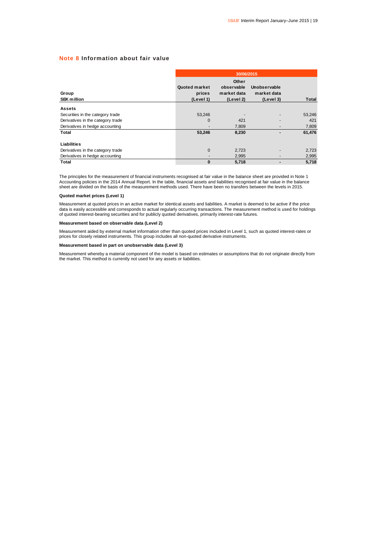### **Note 8 Information about fair value**

|                                   |                                      | 30/06/2015                                      |                                          |              |  |  |  |  |  |  |
|-----------------------------------|--------------------------------------|-------------------------------------------------|------------------------------------------|--------------|--|--|--|--|--|--|
| Group<br><b>SEK million</b>       | Quoted market<br>prices<br>(Level 1) | Other<br>observable<br>market data<br>(Level 2) | Unobservable<br>market data<br>(Level 3) | <b>Total</b> |  |  |  |  |  |  |
| <b>Assets</b>                     |                                      |                                                 |                                          |              |  |  |  |  |  |  |
| Securities in the category trade  | 53,246                               |                                                 |                                          | 53,246       |  |  |  |  |  |  |
| Derivatives in the category trade | 0                                    | 421                                             |                                          | 421          |  |  |  |  |  |  |
| Derivatives in hedge accounting   |                                      | 7,809                                           |                                          | 7,809        |  |  |  |  |  |  |
| <b>Total</b>                      | 53,246                               | 8,230                                           |                                          | 61,476       |  |  |  |  |  |  |
| Liabilities                       |                                      |                                                 |                                          |              |  |  |  |  |  |  |
| Derivatives in the category trade | $\mathbf{0}$                         | 2,723                                           |                                          | 2,723        |  |  |  |  |  |  |
| Derivatives in hedge accounting   |                                      | 2,995                                           |                                          | 2,995        |  |  |  |  |  |  |
| <b>Total</b>                      | 0                                    | 5,718                                           |                                          | 5,718        |  |  |  |  |  |  |

The principles for the measurement of financial instruments recognised at fair value in the balance sheet are provided in Note 1 Accounting policies in the 2014 Annual Report. In the table, financial assets and liabilities recognised at fair value in the balance<br>sheet are divided on the basis of the measurement methods used. There have been no trans

#### **Quoted market prices (Level 1)**

Measurement at quoted prices in an active market for identical assets and liabilities. A market is deemed to be active if the price data is easily accessible and corresponds to actual regularly occurring transactions. The measurement method is used for holdings<br>of quoted interest-bearing securities and for publicly quoted derivatives, primarily interes

#### **Measurement based on observable data (Level 2)**

Measurement aided by external market information other than quoted prices included in Level 1, such as quoted interest-rates or prices for closely related instruments. This group includes all non-quoted derivative instruments.

### **Measurement based in part on unobservable data (Level 3)**

Measurement whereby a material component of the model is based on estimates or assumptions that do not originate directly from the market. This method is currently not used for any assets or liabilities.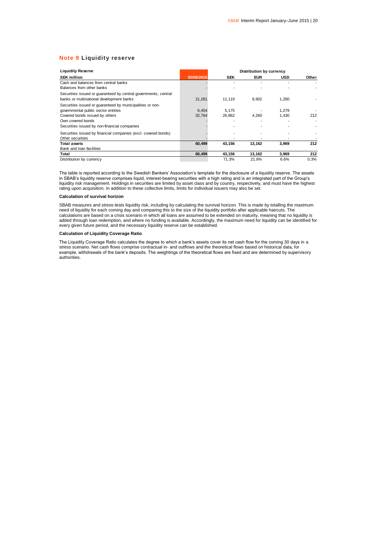### **Note 9 Liquidity reserve**

| <b>Liquidity Reserve</b>                                                                                                                                                                                | Distribution by currency |                 |            |                |       |  |  |  |  |  |
|---------------------------------------------------------------------------------------------------------------------------------------------------------------------------------------------------------|--------------------------|-----------------|------------|----------------|-------|--|--|--|--|--|
| <b>SEK million</b>                                                                                                                                                                                      | 30/06/2015               | <b>SEK</b>      | <b>EUR</b> | <b>USD</b>     | Other |  |  |  |  |  |
| Cash and balances from central banks<br>Balances from other banks                                                                                                                                       |                          |                 |            |                |       |  |  |  |  |  |
| Securities issued or quaranteed by central governments, central<br>banks or multinational development banks                                                                                             | 21,281                   | 11.119          | 8,902      | 1,260          |       |  |  |  |  |  |
| Securities issued or guaranteed by municipalities or non-<br>governmental public sector entities<br>Covered bonds issued by others<br>Own covered bonds<br>Securities issued by non-financial companies | 6.454<br>32,764          | 5.175<br>26,862 | 4.260      | 1.279<br>1.430 | 212   |  |  |  |  |  |
| Securities issued by financial companies (excl. covered bonds)<br>Other securities                                                                                                                      |                          |                 |            |                |       |  |  |  |  |  |
| <b>Total assets</b>                                                                                                                                                                                     | 60.499                   | 43,156          | 13,162     | 3,969          | 212   |  |  |  |  |  |
| Bank and loan facilities                                                                                                                                                                                |                          |                 |            |                |       |  |  |  |  |  |
| Total                                                                                                                                                                                                   | 60.499                   | 43,156          | 13,162     | 3,969          | 212   |  |  |  |  |  |
| Distribution by currency                                                                                                                                                                                |                          | 71.3%           | 21.8%      | 6.6%           | 0.3%  |  |  |  |  |  |

The table is reported according to the Swedish Bankers' Association's template for the disclosure of a liquidity reserve. The assets in SBAB's liquidity reserve comprises liquid, interest-bearing securities with a high rating and is an integrated part of the Group's liquidity risk management. Holdings in securities are limited by asset class and by country, respectively, and must have the highest rating upon acquisition. In addition to these collective limits, limits for individual issuers may also be set.

#### **Calculation of survival horizon**

SBAB measures and stress-tests liquidity risk, including by calculating the survival horizon. This is made by totalling the maximum need of liquidity for each coming day and comparing this to the size of the liquidity portfolio after applicable haircuts. The calculations are based on a crisis scenario in which all loans are assumed to be extended on maturity, meaning that no liquidity is added through loan redemption, and where no funding is available. Accordingly, the maximum need for liquidity can be identified for every given future period, and the necessary liquidity reserve can be established.

### **Calculation of Liquidity Coverage Ratio**

The Liquidity Coverage Ratio calculates the degree to which a bank's assets cover its net cash flow for the coming 30 days in a stress scenario. Net cash flows comprise contractual in- and outflows and the theoretical flows based on historical data, for example, withdrawals of the bank's deposits. The weightings of the theoretical flows are fixed and are determined by supervisory authorities.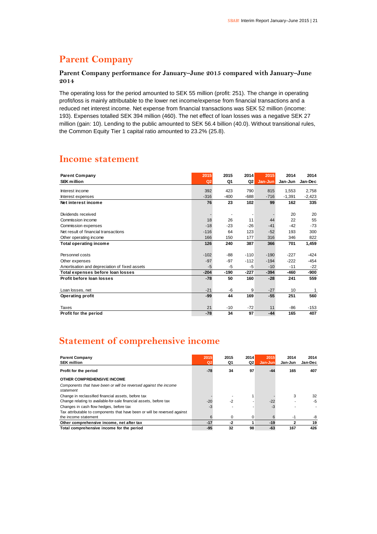# **Parent Company**

### **Parent Company performance for January–June 2015 compared with January–June 2014**

The operating loss for the period amounted to SEK 55 million (profit: 251). The change in operating profit/loss is mainly attributable to the lower net income/expense from financial transactions and a reduced net interest income. Net expense from financial transactions was SEK 52 million (income: 193). Expenses totalled SEK 394 million (460). The net effect of loan losses was a negative SEK 27 million (gain: 10). Lending to the public amounted to SEK 56.4 billion (40.0). Without transitional rules, the Common Equity Tier 1 capital ratio amounted to 23.2% (25.8).

### **Income statement**

| <b>Parent Company</b><br><b>SEK million</b>   | 2015<br>Q2 | 2015<br>Q1 | 2014<br>Q2 | 2015<br>Jan-Jun | 2014<br>Jan-Jun | 2014<br>Jan-Dec |
|-----------------------------------------------|------------|------------|------------|-----------------|-----------------|-----------------|
| Interest income                               | 392        | 423        | 790        | 815             | 1.553           | 2,758           |
| Interest expenses                             | $-316$     | $-400$     | $-688$     | $-716$          | $-1.391$        | $-2,423$        |
| Net interest income                           | 76         | 23         | 102        | 99              | 162             | 335             |
| Dividends received                            |            |            |            |                 | 20              | 20              |
| Commission income                             | 18         | 26         | 11         | 44              | 22              | 55              |
| Commission expenses                           | $-18$      | $-23$      | $-26$      | $-41$           | $-42$           | $-73$           |
| Net result of financial transactions          | $-116$     | 64         | 123        | $-52$           | 193             | 300             |
| Other operating income                        | 166        | 150        | 177        | 316             | 346             | 822             |
| <b>Total operating income</b>                 | 126        | 240        | 387        | 366             | 701             | 1,459           |
|                                               |            |            |            |                 |                 |                 |
| Personnel costs                               | $-102$     | $-88-$     | $-110$     | $-190$          | $-227$          | $-424$          |
| Other expenses                                | $-97$      | $-97$      | $-112$     | $-194$          | $-222$          | $-454$          |
| Amortisation and depreciation of fixed assets | $-5$       | -5         | -5         | $-10$           | $-11$           | $-22$           |
| Total expenses before loan losses             | $-204$     | $-190$     | $-227$     | $-394$          | $-460$          | $-900$          |
| Profit before loan losses                     | $-78$      | 50         | 160        | $-28$           | 241             | 559             |
| Loan losses, net                              | $-21$      | -6         | 9          | $-27$           | 10              | 1               |
| <b>Operating profit</b>                       | -99        | 44         | 169        | $-55$           | 251             | 560             |
| Taxes                                         | 21         | $-10$      | $-72$      | 11              | $-86$           | $-153$          |
| Profit for the period                         | $-78$      | 34         | 97         | $-44$           | 165             | 407             |

# **Statement of comprehensive income**

| <b>Parent Company</b><br><b>SEK million</b>                                   | 2015<br>Q <sub>2</sub> | 2015<br>Q1 | 2014<br>Q2 | 2015<br>Jan-Jun | 2014<br>Jan-Jun | 2014<br>Jan-Dec |
|-------------------------------------------------------------------------------|------------------------|------------|------------|-----------------|-----------------|-----------------|
| Profit for the period                                                         | $-78$                  | 34         | 97         | $-44$           | 165             | 407             |
| OTHER COMPREHENSIVE INCOME                                                    |                        |            |            |                 |                 |                 |
| Components that have been or will be reversed against the income<br>statement |                        |            |            |                 |                 |                 |
| Change in reclassified financial assets, before tax                           |                        |            |            |                 | 3               | 32              |
| Change relating to available-for-sale financial assets, before tax            | $-20$                  | $-2$       |            | $-22$           |                 | -5              |
| Changes in cash flow hedges, before tax                                       |                        |            |            |                 |                 |                 |
| Tax attributable to components that have been or will be reversed against     |                        |            |            |                 |                 |                 |
| the income statement                                                          |                        | 0          | 0          | 6               | -1              | -8              |
| Other comprehensive income, net after tax                                     | $-17$                  | -2         |            | $-19$           | 2               | 19              |
| Total comprehensive income for the period                                     | $-95$                  | 32         | 98         | $-63$           | 167             | 426             |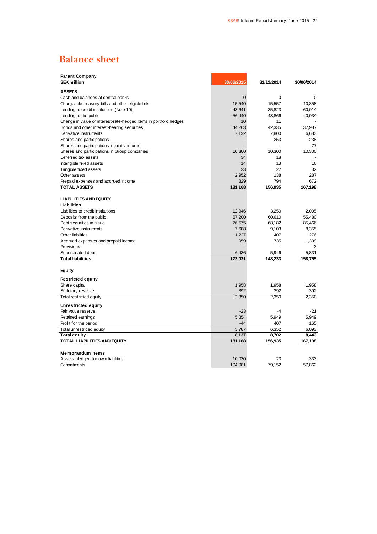# **Balance sheet**

| <b>Parent Company</b><br><b>SEK million</b>                       | 30/06/2015     | 31/12/2014 | 30/06/2014 |
|-------------------------------------------------------------------|----------------|------------|------------|
| <b>ASSETS</b>                                                     |                |            |            |
| Cash and balances at central banks                                | $\overline{0}$ | 0          | 0          |
| Chargeable treasury bills and other eligible bills                | 15,540         | 15,557     | 10,858     |
| Lending to credit institutions (Note 10)                          | 43,641         | 35,823     | 60,014     |
| Lending to the public                                             | 56,440         | 43,866     | 40,034     |
| Change in value of interest-rate-hedged items in portfolio hedges | 10             | 11         |            |
| Bonds and other interest-bearing securities                       | 44,263         | 42,335     | 37,987     |
| Derivative instruments                                            | 7,122          | 7,800      | 6,683      |
| Shares and participations                                         |                | 253        | 238        |
| Shares and participations in joint ventures                       |                |            | 77         |
| Shares and participations in Group companies                      | 10,300         | 10,300     | 10,300     |
| Deferred tax assets                                               | 34             | 18         |            |
| Intangible fixed assets                                           | 14             | 13         | 16         |
| Tangible fixed assets                                             | 23             | 27         | 32         |
| Other assets                                                      | 2,952          | 138        | 287        |
| Prepaid expenses and accrued income                               | 829            | 794        | 672        |
| <b>TOTAL ASSETS</b>                                               | 181,168        | 156,935    | 167,198    |
|                                                                   |                |            |            |
| <b>LIABILITIES AND EQUITY</b>                                     |                |            |            |
| Liabilities                                                       |                |            |            |
| Liabilities to credit institutions                                | 12,946         | 3,250      | 2,005      |
| Deposits from the public                                          | 67,200         | 60,610     | 55,480     |
| Debt securities in issue                                          | 76,575         | 68,182     | 85,466     |
| Derivative instruments                                            | 7,688          | 9,103      | 8,355      |
| Other liabilities                                                 | 1,227          | 407        | 276        |
| Accrued expenses and prepaid income                               | 959            | 735        | 1,339      |
| Provisions                                                        |                |            | 3          |
| Subordinated debt                                                 | 6,436          | 5,946      | 5,831      |
| <b>Total liabilities</b>                                          | 173,031        | 148,233    | 158,755    |
| Equity                                                            |                |            |            |
| <b>Restricted equity</b>                                          |                |            |            |
| Share capital                                                     | 1,958          | 1,958      | 1,958      |
| Statutory reserve                                                 | 392            | 392        | 392        |
| Total restricted equity                                           | 2,350          | 2,350      | 2,350      |
| Unrestricted equity                                               |                |            |            |
| Fair value reserve                                                | $-23$          | $-4$       | $-21$      |
| Retained earnings                                                 | 5,854          | 5,949      | 5,949      |
| Profit for the period                                             | $-44$          | 407        | 165        |
| Total unrestriced equity                                          | 5,787          | 6,352      | 6,093      |
| <b>Total equity</b>                                               | 8,137          | 8,702      | 8,443      |
| <b>TOTAL LIABILITIES AND EQUITY</b>                               | 181,168        | 156,935    | 167,198    |
|                                                                   |                |            |            |
| Memorandum items                                                  |                |            |            |
| Assets pledged for own liabilities                                | 10,030         | 23         | 333        |
| Commitments                                                       | 104,081        | 79.152     | 57.862     |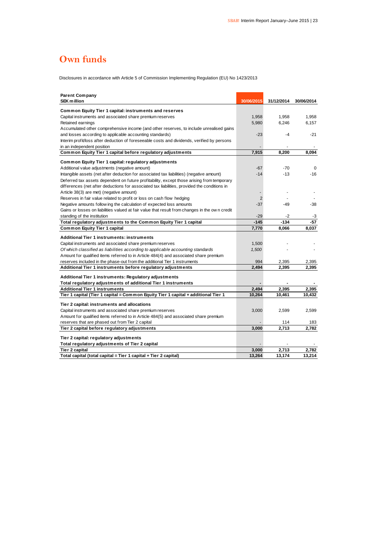# **Own funds**

Disclosures in accordance with Article 5 of Commission Implementing Regulation (EU) No 1423/2013

| <b>Parent Company</b><br><b>SEK million</b>                                                    | 30/06/2015 | 31/12/2014 | 30/06/2014 |
|------------------------------------------------------------------------------------------------|------------|------------|------------|
|                                                                                                |            |            |            |
| Common Equity Tier 1 capital: instruments and reserves                                         | 1,958      | 1,958      | 1,958      |
| Capital instruments and associated share premium reserves                                      |            |            |            |
| Retained earnings                                                                              | 5,980      | 6,246      | 6,157      |
| Accumulated other comprehensive income (and other reserves, to include unrealised gains        | $-23$      |            | $-21$      |
| and losses according to applicable accounting standards)                                       |            | -4         |            |
| Interim profit/loss after deduction of foreseeable costs and dividends, verified by persons    |            |            |            |
| in an independent position                                                                     | 7,915      | 8,200      | 8,094      |
| Common Equity Tier 1 capital before regulatory adjustments                                     |            |            |            |
| Common Equity Tier 1 capital: regulatory adjustments                                           |            |            |            |
| Additional value adjustments (negative amount)                                                 | $-67$      | $-70$      | 0          |
| Intangible assets (net after deduction for associated tax liabilities) (negative amount)       | $-14$      | $-13$      | $-16$      |
| Deferred tax assets dependent on future profitability, except those arising from temporary     |            |            |            |
| differences (net after deductions for associated tax liabilities, provided the conditions in   |            |            |            |
| Article 38(3) are met) (negative amount)                                                       |            |            |            |
| Reserves in fair value related to profit or loss on cash flow hedging                          | 2          |            |            |
| Negative amounts follow ing the calculation of expected loss amounts                           | $-37$      | $-49$      | $-38$      |
| Gains or losses on liabilities valued at fair value that result from changes in the own credit |            |            |            |
| standing of the institution                                                                    | $-29$      | -2         | -3         |
| Total regulatory adjustments to the Common Equity Tier 1 capital                               | $-145$     | $-134$     | $-57$      |
| Common Equity Tier 1 capital                                                                   | 7,770      | 8,066      | 8.037      |
| Additional Tier 1 instruments: instruments                                                     |            |            |            |
| Capital instruments and associated share premium reserves                                      | 1,500      |            |            |
| Of which classified as liabilities according to applicable accounting standards                | 1,500      |            |            |
| Amount for qualified items referred to in Article 484(4) and associated share premium          |            |            |            |
| reserves included in the phase-out from the additional Tier 1 instruments                      | 994        | 2,395      | 2,395      |
| Additional Tier 1 instruments before regulatory adjustments                                    | 2,494      | 2,395      | 2,395      |
|                                                                                                |            |            |            |
| Additional Tier 1 instruments: Regulatory adjustments                                          |            |            |            |
| Total regulatory adjustments of additional Tier 1 instruments                                  |            |            |            |
| <b>Additional Tier 1 instruments</b>                                                           | 2,494      | 2,395      | 2,395      |
| Tier 1 capital (Tier 1 capital = Common Equity Tier 1 capital + additional Tier 1              | 10,264     | 10,461     | 10,432     |
| Tier 2 capital: instruments and allocations                                                    |            |            |            |
| Capital instruments and associated share premium reserves                                      | 3,000      | 2,599      | 2,599      |
| Amount for qualified items referred to in Article 484(5) and associated share premium          |            |            |            |
| reserves that are phased out from Tier 2 capital                                               |            | 114        | 183        |
| Tier 2 capital before regulatory adjustments                                                   | 3,000      | 2,713      | 2,782      |
| Tier 2 capital: regulatory adjustments                                                         |            |            |            |
| Total regulatory adjustments of Tier 2 capital                                                 |            |            |            |
| Tier 2 capital                                                                                 | 3.000      | 2.713      | 2.782      |
| Total capital (total capital = Tier 1 capital + Tier 2 capital)                                | 13,264     | 13,174     | 13,214     |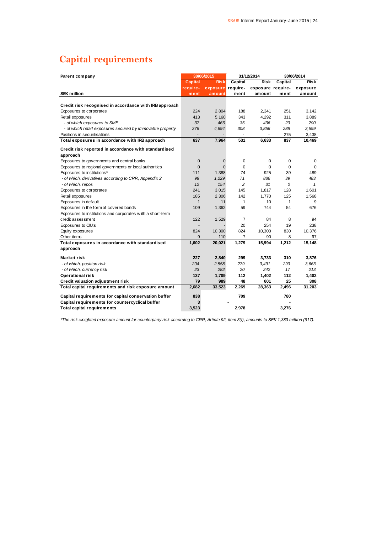# **Capital requirements**

| Parent company                                             |                | 30/06/2015  | 31/12/2014     |                   | 30/06/2014   |              |
|------------------------------------------------------------|----------------|-------------|----------------|-------------------|--------------|--------------|
|                                                            | <b>Capital</b> | <b>Risk</b> | Capital        | <b>Risk</b>       | Capital      | <b>Risk</b>  |
|                                                            | require-       | exposure    | require-       | exposure require- |              | exposure     |
| <b>SEK</b> million                                         | ment           | amount      | ment           | amount            | ment         | amount       |
|                                                            |                |             |                |                   |              |              |
| Credit risk recognised in accordance with IRB approach     |                |             |                |                   |              |              |
| Exposures to corporates                                    | 224            | 2,804       | 188            | 2,341             | 251          | 3,142        |
| Retail exposures                                           | 413            | 5,160       | 343            | 4,292             | 311          | 3,889        |
| - of which exposures to SME                                | 37             | 466         | 35             | 436               | 23           | 290          |
| - of which retail exposures secured by immovable property  | 376            | 4,694       | 308            | 3,856             | 288          | 3,599        |
| Positions in securitisations                               |                |             |                |                   | 275          | 3,438        |
| Total exposures in accordance with IRB approach            | 637            | 7,964       | 531            | 6,633             | 837          | 10,469       |
| Credit risk reported in accordance with standardised       |                |             |                |                   |              |              |
| approach                                                   |                |             |                |                   |              |              |
| Exposures to governments and central banks                 | $\mathbf 0$    | $\mathbf 0$ | 0              | 0                 | 0            | 0            |
| Exposures to regional governments or local authorities     | $\mathbf{0}$   | $\Omega$    | $\mathbf 0$    | $\Omega$          | $\mathbf 0$  | $\Omega$     |
| Exposures to institutions*                                 | 111            | 1,388       | 74             | 925               | 39           | 489          |
| - of which, derivatives according to CRR, Appendix 2       | 98             | 1,229       | 71             | 886               | 39           | 483          |
| - of which, repos                                          | 12             | 154         | $\overline{c}$ | 31                | 0            | $\mathbf{1}$ |
| Exposures to corporates                                    | 241            | 3,015       | 145            | 1,817             | 128          | 1,601        |
| Retail exposures                                           | 185            | 2,306       | 142            | 1,770             | 125          | 1,568        |
| Exposures in default                                       | $\mathbf{1}$   | 11          | 1              | 10                | $\mathbf{1}$ | 9            |
| Exposures in the form of covered bonds                     | 109            | 1,362       | 59             | 744               | 54           | 676          |
| Exposures to institutions and corporates with a short-term |                |             |                |                   |              |              |
| credit assessment                                          | 122            | 1,529       | 7              | 84                | 8            | 94           |
| Exposures to CIU:s                                         |                |             | 20             | 254               | 19           | 238          |
| Equity exposures                                           | 824            | 10,300      | 824            | 10,300            | 830          | 10,376       |
| Other items                                                | 9              | 110         | $\overline{7}$ | 90                | 8            | 97           |
| Total exposures in accordance with standardised            | 1,602          | 20,021      | 1,279          | 15,994            | 1,212        | 15,148       |
| approach                                                   |                |             |                |                   |              |              |
| Market risk                                                | 227            | 2,840       | 299            | 3,733             | 310          | 3,876        |
| - of which, position risk                                  | 204            | 2,558       | 279            | 3,491             | 293          | 3,663        |
| - of which, currency risk                                  | 23             | 282         | 20             | 242               | 17           | 213          |
| Operational risk                                           | 137            | 1,709       | 112            | 1,402             | 112          | 1,402        |
| Credit valuation adjustment risk                           | 79             | 989         | 48             | 601               | 25           | 308          |
| Total capital requirements and risk exposure amount        | 2,682          | 33,523      | 2,269          | 28,363            | 2,496        | 31,203       |
| Capital requirements for capital conservation buffer       | 838            |             | 709            |                   | 780          |              |
| Capital requirements for countercyclical buffer            | 3              |             |                |                   |              |              |
| <b>Total capital requirements</b>                          | 3,523          |             | 2,978          |                   | 3,276        |              |

*\*The risk-weighted exposure amount for counterparty risk according to CRR, Article 92, item 3(f), amounts to SEK 1,383 million (917).*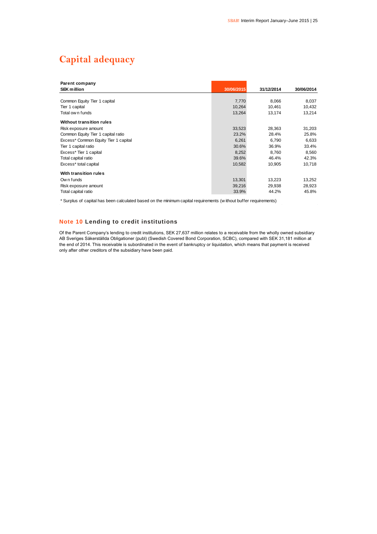# **Capital adequacy**

| Parent company                       |            |            |            |
|--------------------------------------|------------|------------|------------|
| <b>SEK million</b>                   | 30/06/2015 | 31/12/2014 | 30/06/2014 |
|                                      |            |            |            |
| Common Equity Tier 1 capital         | 7,770      | 8,066      | 8,037      |
| Tier 1 capital                       | 10,264     | 10.461     | 10,432     |
| Total ow n funds                     | 13,264     | 13,174     | 13,214     |
| Without transition rules             |            |            |            |
| Risk exposure amount                 | 33,523     | 28,363     | 31,203     |
| Common Equity Tier 1 capital ratio   | 23.2%      | 28.4%      | 25.8%      |
| Excess* Common Equity Tier 1 capital | 6,261      | 6,790      | 6,633      |
| Tier 1 capital ratio                 | 30.6%      | 36.9%      | 33.4%      |
| Excess* Tier 1 capital               | 8,252      | 8,760      | 8,560      |
| Total capital ratio                  | 39.6%      | 46.4%      | 42.3%      |
| Excess* total capital                | 10,582     | 10,905     | 10,718     |
| With transition rules                |            |            |            |
| Own funds                            | 13,301     | 13,223     | 13,252     |
| Risk exposure amount                 | 39,216     | 29,938     | 28,923     |
| Total capital ratio                  | 33.9%      | 44.2%      | 45.8%      |

\* Surplus of capital has been calculated based on the minimum capital requirements (w ithout buffer requirements)

### **Note 10 Lending to credit institutions**

Of the Parent Company's lending to credit institutions, SEK 27,637 million relates to a receivable from the wholly owned subsidiary AB Sveriges Säkerställda Obligationer (publ) (Swedish Covered Bond Corporation, SCBC), compared with SEK 31,181 million at the end of 2014. This receivable is subordinated in the event of bankruptcy or liquidation, which means that payment is received only after other creditors of the subsidiary have been paid.